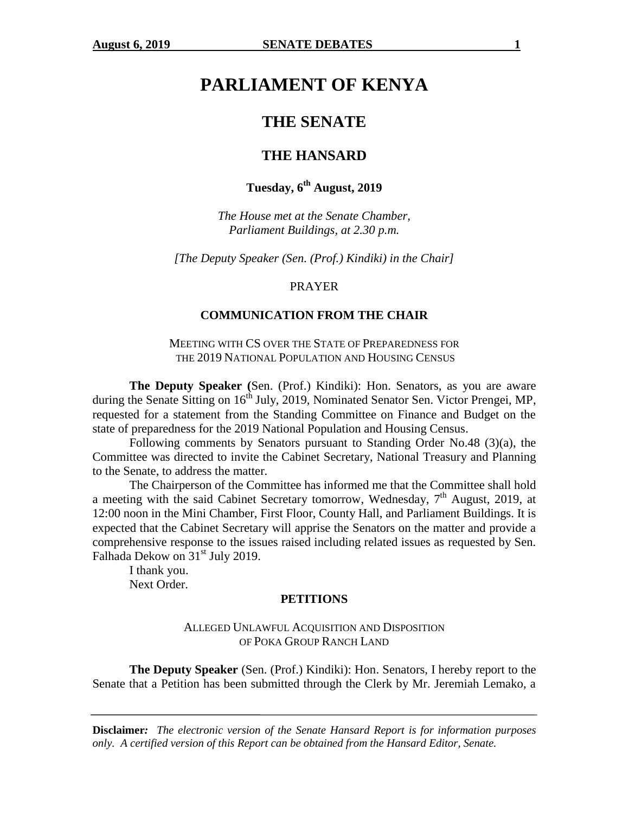# **PARLIAMENT OF KENYA**

# **THE SENATE**

# **THE HANSARD**

# **Tuesday, 6th August, 2019**

*The House met at the Senate Chamber, Parliament Buildings, at 2.30 p.m.*

*[The Deputy Speaker (Sen. (Prof.) Kindiki) in the Chair]*

#### PRAYER

#### **COMMUNICATION FROM THE CHAIR**

MEETING WITH CS OVER THE STATE OF PREPAREDNESS FOR THE 2019 NATIONAL POPULATION AND HOUSING CENSUS

**The Deputy Speaker (**Sen. (Prof.) Kindiki): Hon. Senators, as you are aware during the Senate Sitting on 16<sup>th</sup> July, 2019, Nominated Senator Sen. Victor Prengei, MP, requested for a statement from the Standing Committee on Finance and Budget on the state of preparedness for the 2019 National Population and Housing Census.

Following comments by Senators pursuant to Standing Order No.48 (3)(a), the Committee was directed to invite the Cabinet Secretary, National Treasury and Planning to the Senate, to address the matter.

The Chairperson of the Committee has informed me that the Committee shall hold a meeting with the said Cabinet Secretary tomorrow, Wednesday,  $7<sup>th</sup>$  August, 2019, at 12:00 noon in the Mini Chamber, First Floor, County Hall, and Parliament Buildings. It is expected that the Cabinet Secretary will apprise the Senators on the matter and provide a comprehensive response to the issues raised including related issues as requested by Sen. Falhada Dekow on 31<sup>st</sup> July 2019.

I thank you. Next Order.

#### **PETITIONS**

#### ALLEGED UNLAWFUL ACQUISITION AND DISPOSITION OF POKA GROUP RANCH LAND

**The Deputy Speaker** (Sen. (Prof.) Kindiki): Hon. Senators, I hereby report to the Senate that a Petition has been submitted through the Clerk by Mr. Jeremiah Lemako, a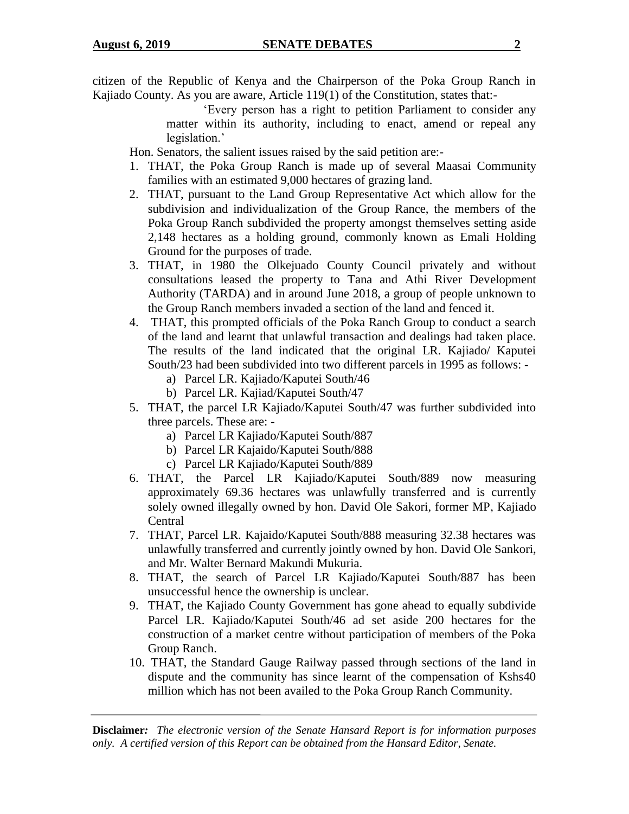citizen of the Republic of Kenya and the Chairperson of the Poka Group Ranch in Kajiado County. As you are aware, Article 119(1) of the Constitution, states that:-

> 'Every person has a right to petition Parliament to consider any matter within its authority, including to enact, amend or repeal any legislation.'

Hon. Senators, the salient issues raised by the said petition are:-

- 1. THAT, the Poka Group Ranch is made up of several Maasai Community families with an estimated 9,000 hectares of grazing land.
- 2. THAT, pursuant to the Land Group Representative Act which allow for the subdivision and individualization of the Group Rance, the members of the Poka Group Ranch subdivided the property amongst themselves setting aside 2,148 hectares as a holding ground, commonly known as Emali Holding Ground for the purposes of trade.
- 3. THAT, in 1980 the Olkejuado County Council privately and without consultations leased the property to Tana and Athi River Development Authority (TARDA) and in around June 2018, a group of people unknown to the Group Ranch members invaded a section of the land and fenced it.
- 4. THAT, this prompted officials of the Poka Ranch Group to conduct a search of the land and learnt that unlawful transaction and dealings had taken place. The results of the land indicated that the original LR. Kajiado/ Kaputei South/23 had been subdivided into two different parcels in 1995 as follows:
	- a) Parcel LR. Kajiado/Kaputei South/46
	- b) Parcel LR. Kajiad/Kaputei South/47
- 5. THAT, the parcel LR Kajiado/Kaputei South/47 was further subdivided into three parcels. These are:
	- a) Parcel LR Kajiado/Kaputei South/887
	- b) Parcel LR Kajaido/Kaputei South/888
	- c) Parcel LR Kajiado/Kaputei South/889
- 6. THAT, the Parcel LR Kajiado/Kaputei South/889 now measuring approximately 69.36 hectares was unlawfully transferred and is currently solely owned illegally owned by hon. David Ole Sakori, former MP, Kajiado Central
- 7. THAT, Parcel LR. Kajaido/Kaputei South/888 measuring 32.38 hectares was unlawfully transferred and currently jointly owned by hon. David Ole Sankori, and Mr. Walter Bernard Makundi Mukuria.
- 8. THAT, the search of Parcel LR Kajiado/Kaputei South/887 has been unsuccessful hence the ownership is unclear.
- 9. THAT, the Kajiado County Government has gone ahead to equally subdivide Parcel LR. Kajiado/Kaputei South/46 ad set aside 200 hectares for the construction of a market centre without participation of members of the Poka Group Ranch.
- 10. THAT, the Standard Gauge Railway passed through sections of the land in dispute and the community has since learnt of the compensation of Kshs40 million which has not been availed to the Poka Group Ranch Community.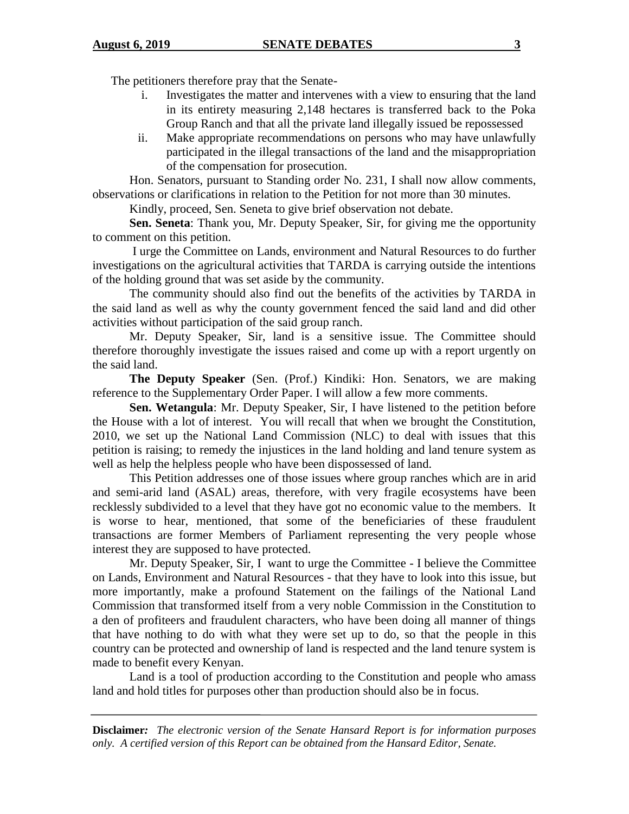The petitioners therefore pray that the Senate-

- i. Investigates the matter and intervenes with a view to ensuring that the land in its entirety measuring 2,148 hectares is transferred back to the Poka Group Ranch and that all the private land illegally issued be repossessed
- ii. Make appropriate recommendations on persons who may have unlawfully participated in the illegal transactions of the land and the misappropriation of the compensation for prosecution.

Hon. Senators, pursuant to Standing order No. 231, I shall now allow comments, observations or clarifications in relation to the Petition for not more than 30 minutes.

Kindly, proceed, Sen. Seneta to give brief observation not debate.

**Sen. Seneta**: Thank you, Mr. Deputy Speaker, Sir, for giving me the opportunity to comment on this petition.

I urge the Committee on Lands, environment and Natural Resources to do further investigations on the agricultural activities that TARDA is carrying outside the intentions of the holding ground that was set aside by the community.

The community should also find out the benefits of the activities by TARDA in the said land as well as why the county government fenced the said land and did other activities without participation of the said group ranch.

Mr. Deputy Speaker, Sir, land is a sensitive issue. The Committee should therefore thoroughly investigate the issues raised and come up with a report urgently on the said land.

**The Deputy Speaker** (Sen. (Prof.) Kindiki: Hon. Senators, we are making reference to the Supplementary Order Paper. I will allow a few more comments.

**Sen. Wetangula**: Mr. Deputy Speaker, Sir, I have listened to the petition before the House with a lot of interest. You will recall that when we brought the Constitution, 2010, we set up the National Land Commission (NLC) to deal with issues that this petition is raising; to remedy the injustices in the land holding and land tenure system as well as help the helpless people who have been dispossessed of land.

This Petition addresses one of those issues where group ranches which are in arid and semi-arid land (ASAL) areas, therefore, with very fragile ecosystems have been recklessly subdivided to a level that they have got no economic value to the members. It is worse to hear, mentioned, that some of the beneficiaries of these fraudulent transactions are former Members of Parliament representing the very people whose interest they are supposed to have protected.

Mr. Deputy Speaker, Sir, I want to urge the Committee - I believe the Committee on Lands, Environment and Natural Resources - that they have to look into this issue, but more importantly, make a profound Statement on the failings of the National Land Commission that transformed itself from a very noble Commission in the Constitution to a den of profiteers and fraudulent characters, who have been doing all manner of things that have nothing to do with what they were set up to do, so that the people in this country can be protected and ownership of land is respected and the land tenure system is made to benefit every Kenyan.

Land is a tool of production according to the Constitution and people who amass land and hold titles for purposes other than production should also be in focus.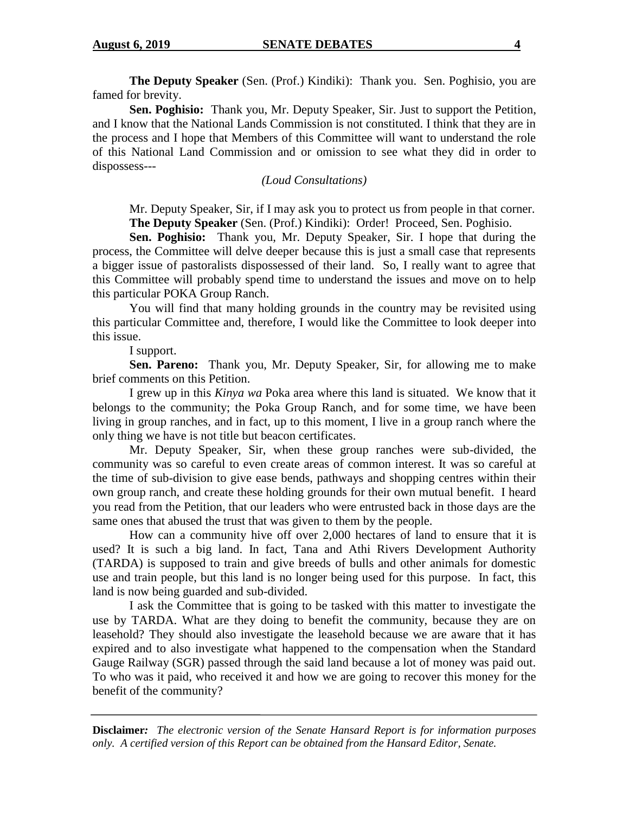**The Deputy Speaker** (Sen. (Prof.) Kindiki): Thank you. Sen. Poghisio, you are famed for brevity.

**Sen. Poghisio:** Thank you, Mr. Deputy Speaker, Sir. Just to support the Petition, and I know that the National Lands Commission is not constituted. I think that they are in the process and I hope that Members of this Committee will want to understand the role of this National Land Commission and or omission to see what they did in order to dispossess---

*(Loud Consultations)*

Mr. Deputy Speaker, Sir, if I may ask you to protect us from people in that corner. **The Deputy Speaker** (Sen. (Prof.) Kindiki): Order! Proceed, Sen. Poghisio.

**Sen. Poghisio:** Thank you, Mr. Deputy Speaker, Sir. I hope that during the process, the Committee will delve deeper because this is just a small case that represents a bigger issue of pastoralists dispossessed of their land. So, I really want to agree that this Committee will probably spend time to understand the issues and move on to help this particular POKA Group Ranch.

You will find that many holding grounds in the country may be revisited using this particular Committee and, therefore, I would like the Committee to look deeper into this issue.

I support.

**Sen. Pareno:** Thank you, Mr. Deputy Speaker, Sir, for allowing me to make brief comments on this Petition.

I grew up in this *Kinya wa* Poka area where this land is situated. We know that it belongs to the community; the Poka Group Ranch, and for some time, we have been living in group ranches, and in fact, up to this moment, I live in a group ranch where the only thing we have is not title but beacon certificates.

Mr. Deputy Speaker, Sir, when these group ranches were sub-divided, the community was so careful to even create areas of common interest. It was so careful at the time of sub-division to give ease bends, pathways and shopping centres within their own group ranch, and create these holding grounds for their own mutual benefit. I heard you read from the Petition, that our leaders who were entrusted back in those days are the same ones that abused the trust that was given to them by the people.

How can a community hive off over 2,000 hectares of land to ensure that it is used? It is such a big land. In fact, Tana and Athi Rivers Development Authority (TARDA) is supposed to train and give breeds of bulls and other animals for domestic use and train people, but this land is no longer being used for this purpose. In fact, this land is now being guarded and sub-divided.

I ask the Committee that is going to be tasked with this matter to investigate the use by TARDA. What are they doing to benefit the community, because they are on leasehold? They should also investigate the leasehold because we are aware that it has expired and to also investigate what happened to the compensation when the Standard Gauge Railway (SGR) passed through the said land because a lot of money was paid out. To who was it paid, who received it and how we are going to recover this money for the benefit of the community?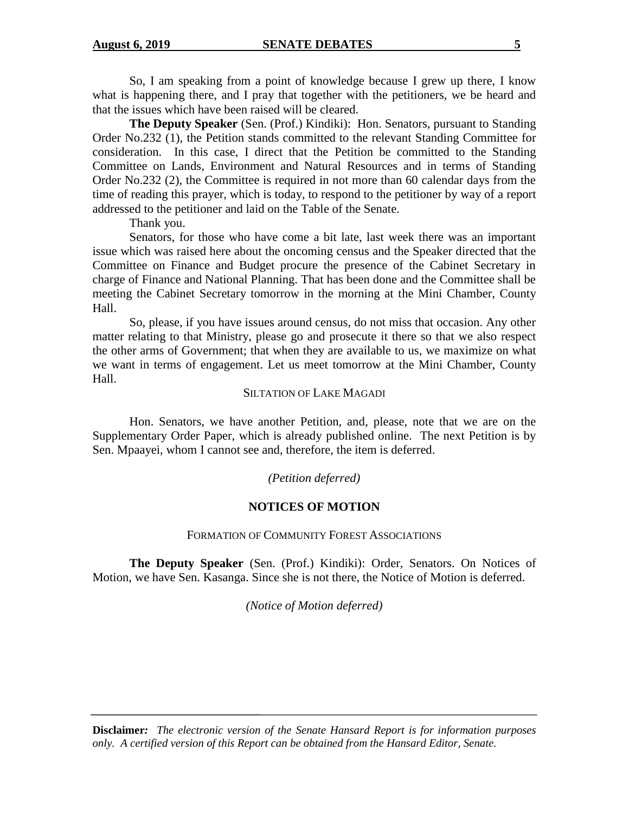So, I am speaking from a point of knowledge because I grew up there, I know what is happening there, and I pray that together with the petitioners, we be heard and that the issues which have been raised will be cleared.

**The Deputy Speaker** (Sen. (Prof.) Kindiki): Hon. Senators, pursuant to Standing Order No.232 (1), the Petition stands committed to the relevant Standing Committee for consideration. In this case, I direct that the Petition be committed to the Standing Committee on Lands, Environment and Natural Resources and in terms of Standing Order No.232 (2), the Committee is required in not more than 60 calendar days from the time of reading this prayer, which is today, to respond to the petitioner by way of a report addressed to the petitioner and laid on the Table of the Senate.

Thank you.

Senators, for those who have come a bit late, last week there was an important issue which was raised here about the oncoming census and the Speaker directed that the Committee on Finance and Budget procure the presence of the Cabinet Secretary in charge of Finance and National Planning. That has been done and the Committee shall be meeting the Cabinet Secretary tomorrow in the morning at the Mini Chamber, County Hall.

So, please, if you have issues around census, do not miss that occasion. Any other matter relating to that Ministry, please go and prosecute it there so that we also respect the other arms of Government; that when they are available to us, we maximize on what we want in terms of engagement. Let us meet tomorrow at the Mini Chamber, County Hall.

#### SILTATION OF LAKE MAGADI

Hon. Senators, we have another Petition, and, please, note that we are on the Supplementary Order Paper, which is already published online. The next Petition is by Sen. Mpaayei, whom I cannot see and, therefore, the item is deferred.

*(Petition deferred)*

# **NOTICES OF MOTION**

# FORMATION OF COMMUNITY FOREST ASSOCIATIONS

**The Deputy Speaker** (Sen. (Prof.) Kindiki): Order, Senators. On Notices of Motion, we have Sen. Kasanga. Since she is not there, the Notice of Motion is deferred.

*(Notice of Motion deferred)*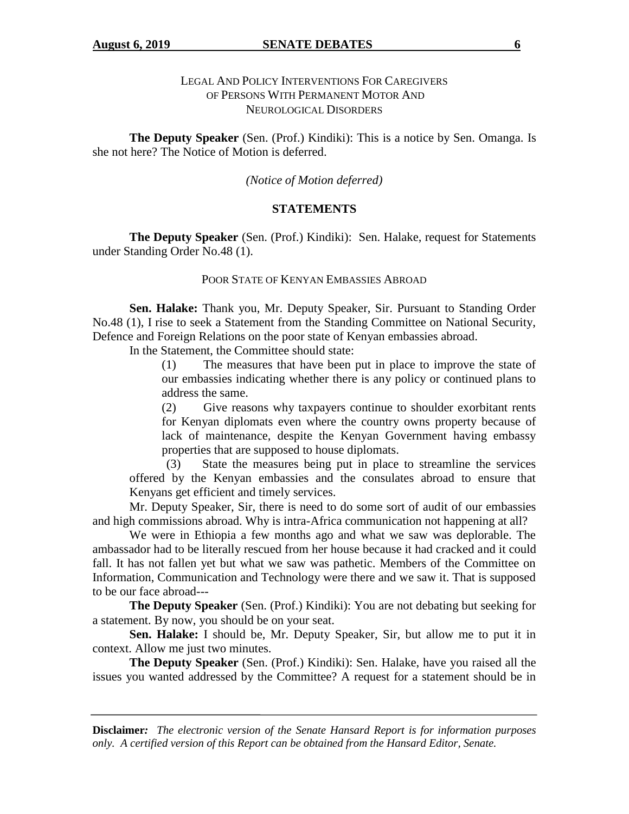**The Deputy Speaker** (Sen. (Prof.) Kindiki): This is a notice by Sen. Omanga. Is she not here? The Notice of Motion is deferred.

#### *(Notice of Motion deferred)*

#### **STATEMENTS**

**The Deputy Speaker** (Sen. (Prof.) Kindiki): Sen. Halake, request for Statements under Standing Order No.48 (1).

#### POOR STATE OF KENYAN EMBASSIES ABROAD

**Sen. Halake:** Thank you, Mr. Deputy Speaker, Sir. Pursuant to Standing Order No.48 (1), I rise to seek a Statement from the Standing Committee on National Security, Defence and Foreign Relations on the poor state of Kenyan embassies abroad.

In the Statement, the Committee should state:

(1) The measures that have been put in place to improve the state of our embassies indicating whether there is any policy or continued plans to address the same.

(2) Give reasons why taxpayers continue to shoulder exorbitant rents for Kenyan diplomats even where the country owns property because of lack of maintenance, despite the Kenyan Government having embassy properties that are supposed to house diplomats.

(3) State the measures being put in place to streamline the services offered by the Kenyan embassies and the consulates abroad to ensure that Kenyans get efficient and timely services.

Mr. Deputy Speaker, Sir, there is need to do some sort of audit of our embassies and high commissions abroad. Why is intra-Africa communication not happening at all?

We were in Ethiopia a few months ago and what we saw was deplorable. The ambassador had to be literally rescued from her house because it had cracked and it could fall. It has not fallen yet but what we saw was pathetic. Members of the Committee on Information, Communication and Technology were there and we saw it. That is supposed to be our face abroad---

**The Deputy Speaker** (Sen. (Prof.) Kindiki): You are not debating but seeking for a statement. By now, you should be on your seat.

**Sen. Halake:** I should be, Mr. Deputy Speaker, Sir, but allow me to put it in context. Allow me just two minutes.

**The Deputy Speaker** (Sen. (Prof.) Kindiki): Sen. Halake, have you raised all the issues you wanted addressed by the Committee? A request for a statement should be in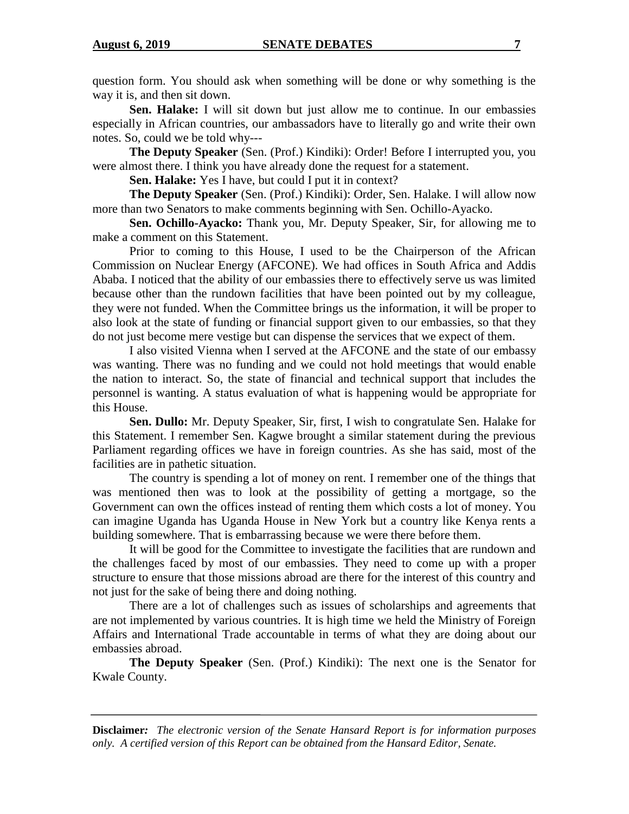question form. You should ask when something will be done or why something is the way it is, and then sit down.

**Sen. Halake:** I will sit down but just allow me to continue. In our embassies especially in African countries, our ambassadors have to literally go and write their own notes. So, could we be told why---

**The Deputy Speaker** (Sen. (Prof.) Kindiki): Order! Before I interrupted you, you were almost there. I think you have already done the request for a statement.

**Sen. Halake:** Yes I have, but could I put it in context?

**The Deputy Speaker** (Sen. (Prof.) Kindiki): Order, Sen. Halake. I will allow now more than two Senators to make comments beginning with Sen. Ochillo-Ayacko.

**Sen. Ochillo-Ayacko:** Thank you, Mr. Deputy Speaker, Sir, for allowing me to make a comment on this Statement.

Prior to coming to this House, I used to be the Chairperson of the African Commission on Nuclear Energy (AFCONE). We had offices in South Africa and Addis Ababa. I noticed that the ability of our embassies there to effectively serve us was limited because other than the rundown facilities that have been pointed out by my colleague, they were not funded. When the Committee brings us the information, it will be proper to also look at the state of funding or financial support given to our embassies, so that they do not just become mere vestige but can dispense the services that we expect of them.

I also visited Vienna when I served at the AFCONE and the state of our embassy was wanting. There was no funding and we could not hold meetings that would enable the nation to interact. So, the state of financial and technical support that includes the personnel is wanting. A status evaluation of what is happening would be appropriate for this House.

**Sen. Dullo:** Mr. Deputy Speaker, Sir, first, I wish to congratulate Sen. Halake for this Statement. I remember Sen. Kagwe brought a similar statement during the previous Parliament regarding offices we have in foreign countries. As she has said, most of the facilities are in pathetic situation.

The country is spending a lot of money on rent. I remember one of the things that was mentioned then was to look at the possibility of getting a mortgage, so the Government can own the offices instead of renting them which costs a lot of money. You can imagine Uganda has Uganda House in New York but a country like Kenya rents a building somewhere. That is embarrassing because we were there before them.

It will be good for the Committee to investigate the facilities that are rundown and the challenges faced by most of our embassies. They need to come up with a proper structure to ensure that those missions abroad are there for the interest of this country and not just for the sake of being there and doing nothing.

There are a lot of challenges such as issues of scholarships and agreements that are not implemented by various countries. It is high time we held the Ministry of Foreign Affairs and International Trade accountable in terms of what they are doing about our embassies abroad.

**The Deputy Speaker** (Sen. (Prof.) Kindiki): The next one is the Senator for Kwale County.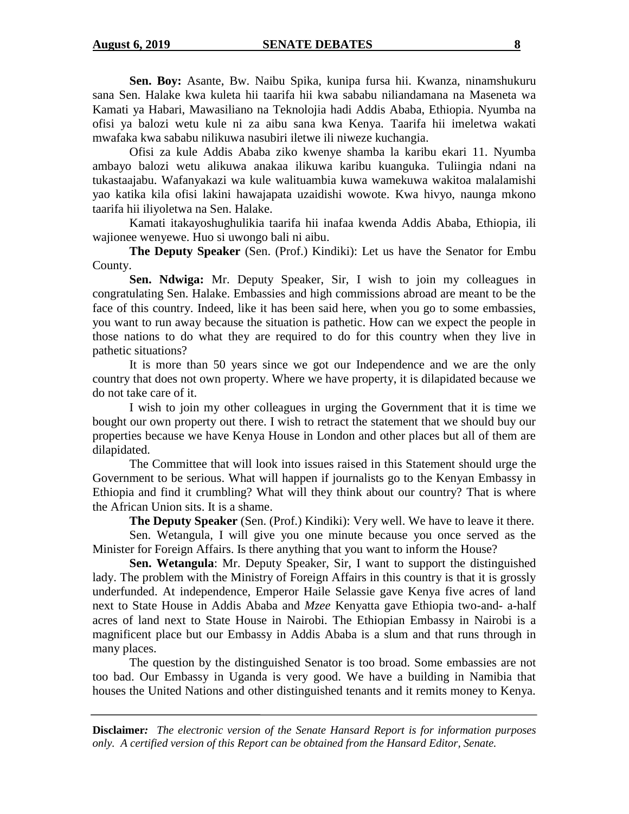**Sen. Boy:** Asante, Bw. Naibu Spika, kunipa fursa hii. Kwanza, ninamshukuru sana Sen. Halake kwa kuleta hii taarifa hii kwa sababu niliandamana na Maseneta wa Kamati ya Habari, Mawasiliano na Teknolojia hadi Addis Ababa, Ethiopia. Nyumba na ofisi ya balozi wetu kule ni za aibu sana kwa Kenya. Taarifa hii imeletwa wakati mwafaka kwa sababu nilikuwa nasubiri iletwe ili niweze kuchangia.

Ofisi za kule Addis Ababa ziko kwenye shamba la karibu ekari 11. Nyumba ambayo balozi wetu alikuwa anakaa ilikuwa karibu kuanguka. Tuliingia ndani na tukastaajabu. Wafanyakazi wa kule walituambia kuwa wamekuwa wakitoa malalamishi yao katika kila ofisi lakini hawajapata uzaidishi wowote. Kwa hivyo, naunga mkono taarifa hii iliyoletwa na Sen. Halake.

Kamati itakayoshughulikia taarifa hii inafaa kwenda Addis Ababa, Ethiopia, ili wajionee wenyewe. Huo si uwongo bali ni aibu.

**The Deputy Speaker** (Sen. (Prof.) Kindiki): Let us have the Senator for Embu County.

**Sen. Ndwiga:** Mr. Deputy Speaker, Sir, I wish to join my colleagues in congratulating Sen. Halake. Embassies and high commissions abroad are meant to be the face of this country. Indeed, like it has been said here, when you go to some embassies, you want to run away because the situation is pathetic. How can we expect the people in those nations to do what they are required to do for this country when they live in pathetic situations?

It is more than 50 years since we got our Independence and we are the only country that does not own property. Where we have property, it is dilapidated because we do not take care of it.

I wish to join my other colleagues in urging the Government that it is time we bought our own property out there. I wish to retract the statement that we should buy our properties because we have Kenya House in London and other places but all of them are dilapidated.

The Committee that will look into issues raised in this Statement should urge the Government to be serious. What will happen if journalists go to the Kenyan Embassy in Ethiopia and find it crumbling? What will they think about our country? That is where the African Union sits. It is a shame.

**The Deputy Speaker** (Sen. (Prof.) Kindiki): Very well. We have to leave it there.

Sen. Wetangula, I will give you one minute because you once served as the Minister for Foreign Affairs. Is there anything that you want to inform the House?

**Sen. Wetangula**: Mr. Deputy Speaker, Sir, I want to support the distinguished lady. The problem with the Ministry of Foreign Affairs in this country is that it is grossly underfunded. At independence, Emperor Haile Selassie gave Kenya five acres of land next to State House in Addis Ababa and *Mzee* Kenyatta gave Ethiopia two-and- a-half acres of land next to State House in Nairobi. The Ethiopian Embassy in Nairobi is a magnificent place but our Embassy in Addis Ababa is a slum and that runs through in many places.

The question by the distinguished Senator is too broad. Some embassies are not too bad. Our Embassy in Uganda is very good. We have a building in Namibia that houses the United Nations and other distinguished tenants and it remits money to Kenya.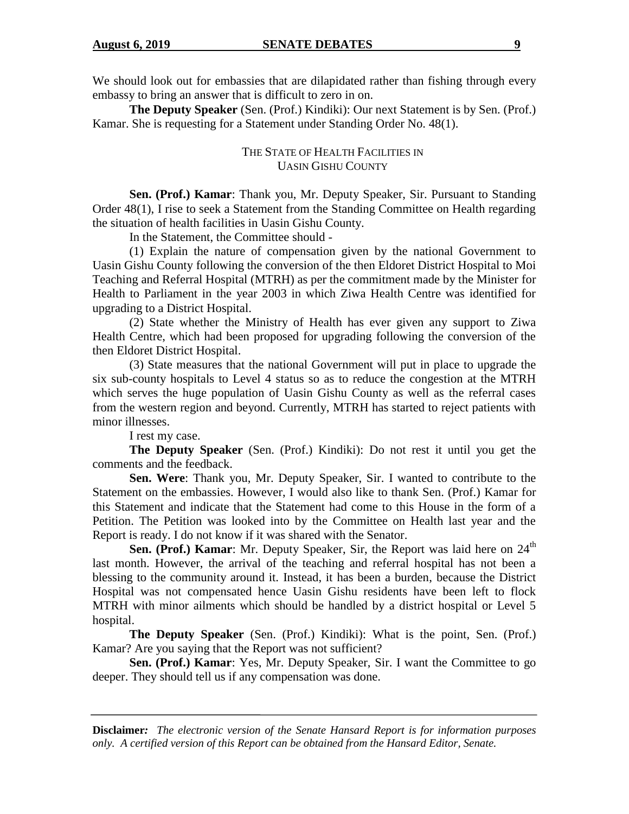We should look out for embassies that are dilapidated rather than fishing through every embassy to bring an answer that is difficult to zero in on.

**The Deputy Speaker** (Sen. (Prof.) Kindiki): Our next Statement is by Sen. (Prof.) Kamar. She is requesting for a Statement under Standing Order No. 48(1).

# THE STATE OF HEALTH FACILITIES IN UASIN GISHU COUNTY

**Sen. (Prof.) Kamar**: Thank you, Mr. Deputy Speaker, Sir. Pursuant to Standing Order 48(1), I rise to seek a Statement from the Standing Committee on Health regarding the situation of health facilities in Uasin Gishu County.

In the Statement, the Committee should -

(1) Explain the nature of compensation given by the national Government to Uasin Gishu County following the conversion of the then Eldoret District Hospital to Moi Teaching and Referral Hospital (MTRH) as per the commitment made by the Minister for Health to Parliament in the year 2003 in which Ziwa Health Centre was identified for upgrading to a District Hospital.

(2) State whether the Ministry of Health has ever given any support to Ziwa Health Centre, which had been proposed for upgrading following the conversion of the then Eldoret District Hospital.

(3) State measures that the national Government will put in place to upgrade the six sub-county hospitals to Level 4 status so as to reduce the congestion at the MTRH which serves the huge population of Uasin Gishu County as well as the referral cases from the western region and beyond. Currently, MTRH has started to reject patients with minor illnesses.

I rest my case.

**The Deputy Speaker** (Sen. (Prof.) Kindiki): Do not rest it until you get the comments and the feedback.

**Sen. Were**: Thank you, Mr. Deputy Speaker, Sir. I wanted to contribute to the Statement on the embassies. However, I would also like to thank Sen. (Prof.) Kamar for this Statement and indicate that the Statement had come to this House in the form of a Petition. The Petition was looked into by the Committee on Health last year and the Report is ready. I do not know if it was shared with the Senator.

**Sen. (Prof.) Kamar**: Mr. Deputy Speaker, Sir, the Report was laid here on 24<sup>th</sup> last month. However, the arrival of the teaching and referral hospital has not been a blessing to the community around it. Instead, it has been a burden, because the District Hospital was not compensated hence Uasin Gishu residents have been left to flock MTRH with minor ailments which should be handled by a district hospital or Level 5 hospital.

**The Deputy Speaker** (Sen. (Prof.) Kindiki): What is the point, Sen. (Prof.) Kamar? Are you saying that the Report was not sufficient?

**Sen. (Prof.) Kamar**: Yes, Mr. Deputy Speaker, Sir. I want the Committee to go deeper. They should tell us if any compensation was done.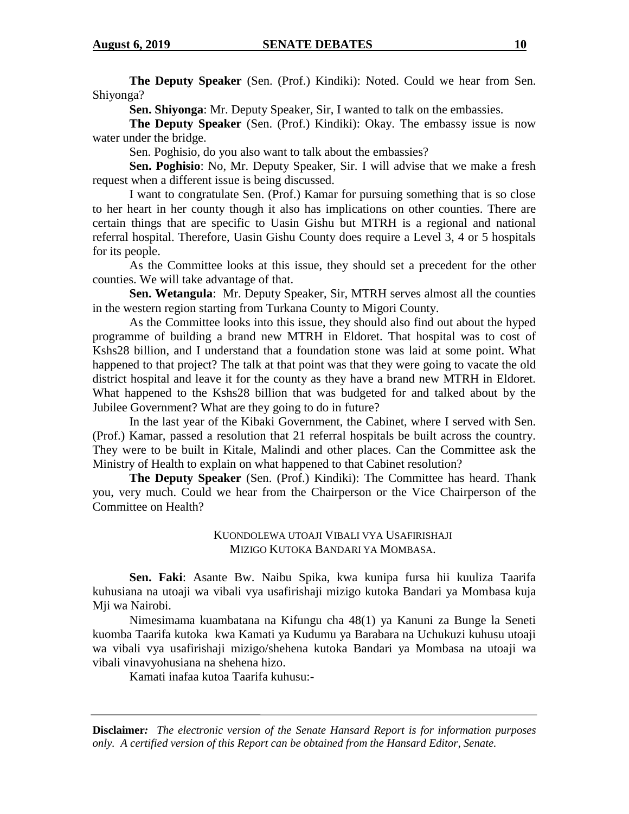**The Deputy Speaker** (Sen. (Prof.) Kindiki): Noted. Could we hear from Sen. Shiyonga?

**Sen. Shiyonga**: Mr. Deputy Speaker, Sir, I wanted to talk on the embassies.

**The Deputy Speaker** (Sen. (Prof.) Kindiki): Okay. The embassy issue is now water under the bridge.

Sen. Poghisio, do you also want to talk about the embassies?

**Sen. Poghisio**: No, Mr. Deputy Speaker, Sir. I will advise that we make a fresh request when a different issue is being discussed.

I want to congratulate Sen. (Prof.) Kamar for pursuing something that is so close to her heart in her county though it also has implications on other counties. There are certain things that are specific to Uasin Gishu but MTRH is a regional and national referral hospital. Therefore, Uasin Gishu County does require a Level 3, 4 or 5 hospitals for its people.

As the Committee looks at this issue, they should set a precedent for the other counties. We will take advantage of that.

**Sen. Wetangula**: Mr. Deputy Speaker, Sir, MTRH serves almost all the counties in the western region starting from Turkana County to Migori County.

As the Committee looks into this issue, they should also find out about the hyped programme of building a brand new MTRH in Eldoret. That hospital was to cost of Kshs28 billion, and I understand that a foundation stone was laid at some point. What happened to that project? The talk at that point was that they were going to vacate the old district hospital and leave it for the county as they have a brand new MTRH in Eldoret. What happened to the Kshs28 billion that was budgeted for and talked about by the Jubilee Government? What are they going to do in future?

In the last year of the Kibaki Government, the Cabinet, where I served with Sen. (Prof.) Kamar, passed a resolution that 21 referral hospitals be built across the country. They were to be built in Kitale, Malindi and other places. Can the Committee ask the Ministry of Health to explain on what happened to that Cabinet resolution?

**The Deputy Speaker** (Sen. (Prof.) Kindiki): The Committee has heard. Thank you, very much. Could we hear from the Chairperson or the Vice Chairperson of the Committee on Health?

> KUONDOLEWA UTOAJI VIBALI VYA USAFIRISHAJI MIZIGO KUTOKA BANDARI YA MOMBASA.

**Sen. Faki**: Asante Bw. Naibu Spika, kwa kunipa fursa hii kuuliza Taarifa kuhusiana na utoaji wa vibali vya usafirishaji mizigo kutoka Bandari ya Mombasa kuja Mji wa Nairobi.

Nimesimama kuambatana na Kifungu cha 48(1) ya Kanuni za Bunge la Seneti kuomba Taarifa kutoka kwa Kamati ya Kudumu ya Barabara na Uchukuzi kuhusu utoaji wa vibali vya usafirishaji mizigo/shehena kutoka Bandari ya Mombasa na utoaji wa vibali vinavyohusiana na shehena hizo.

Kamati inafaa kutoa Taarifa kuhusu:-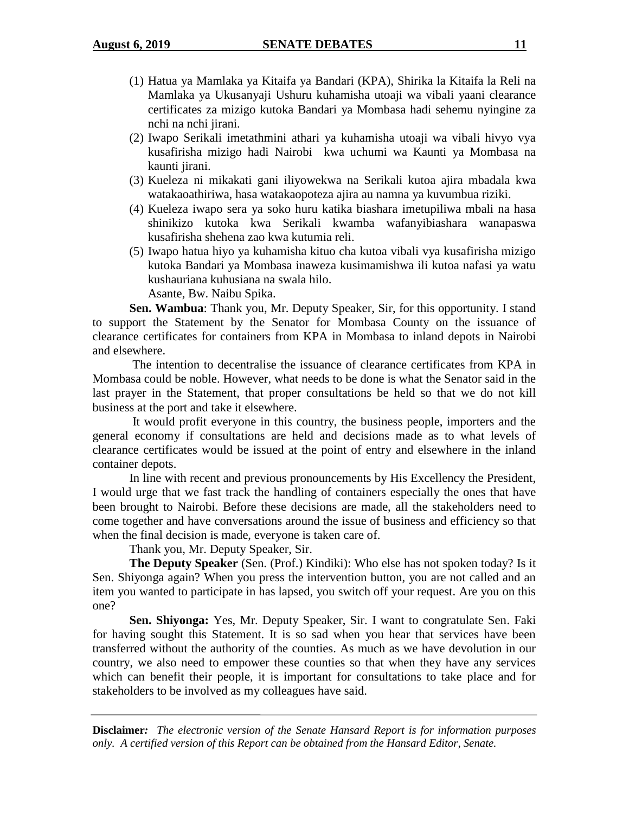- (1) Hatua ya Mamlaka ya Kitaifa ya Bandari (KPA), Shirika la Kitaifa la Reli na Mamlaka ya Ukusanyaji Ushuru kuhamisha utoaji wa vibali yaani clearance certificates za mizigo kutoka Bandari ya Mombasa hadi sehemu nyingine za nchi na nchi jirani.
- (2) Iwapo Serikali imetathmini athari ya kuhamisha utoaji wa vibali hivyo vya kusafirisha mizigo hadi Nairobi kwa uchumi wa Kaunti ya Mombasa na kaunti jirani.
- (3) Kueleza ni mikakati gani iliyowekwa na Serikali kutoa ajira mbadala kwa watakaoathiriwa, hasa watakaopoteza ajira au namna ya kuvumbua riziki.
- (4) Kueleza iwapo sera ya soko huru katika biashara imetupiliwa mbali na hasa shinikizo kutoka kwa Serikali kwamba wafanyibiashara wanapaswa kusafirisha shehena zao kwa kutumia reli.
- (5) Iwapo hatua hiyo ya kuhamisha kituo cha kutoa vibali vya kusafirisha mizigo kutoka Bandari ya Mombasa inaweza kusimamishwa ili kutoa nafasi ya watu kushauriana kuhusiana na swala hilo.

Asante, Bw. Naibu Spika.

**Sen. Wambua**: Thank you, Mr. Deputy Speaker, Sir, for this opportunity. I stand to support the Statement by the Senator for Mombasa County on the issuance of clearance certificates for containers from KPA in Mombasa to inland depots in Nairobi and elsewhere.

The intention to decentralise the issuance of clearance certificates from KPA in Mombasa could be noble. However, what needs to be done is what the Senator said in the last prayer in the Statement, that proper consultations be held so that we do not kill business at the port and take it elsewhere.

It would profit everyone in this country, the business people, importers and the general economy if consultations are held and decisions made as to what levels of clearance certificates would be issued at the point of entry and elsewhere in the inland container depots.

In line with recent and previous pronouncements by His Excellency the President, I would urge that we fast track the handling of containers especially the ones that have been brought to Nairobi. Before these decisions are made, all the stakeholders need to come together and have conversations around the issue of business and efficiency so that when the final decision is made, everyone is taken care of.

Thank you, Mr. Deputy Speaker, Sir.

**The Deputy Speaker** (Sen. (Prof.) Kindiki): Who else has not spoken today? Is it Sen. Shiyonga again? When you press the intervention button, you are not called and an item you wanted to participate in has lapsed, you switch off your request. Are you on this one?

**Sen. Shiyonga:** Yes, Mr. Deputy Speaker, Sir. I want to congratulate Sen. Faki for having sought this Statement. It is so sad when you hear that services have been transferred without the authority of the counties. As much as we have devolution in our country, we also need to empower these counties so that when they have any services which can benefit their people, it is important for consultations to take place and for stakeholders to be involved as my colleagues have said.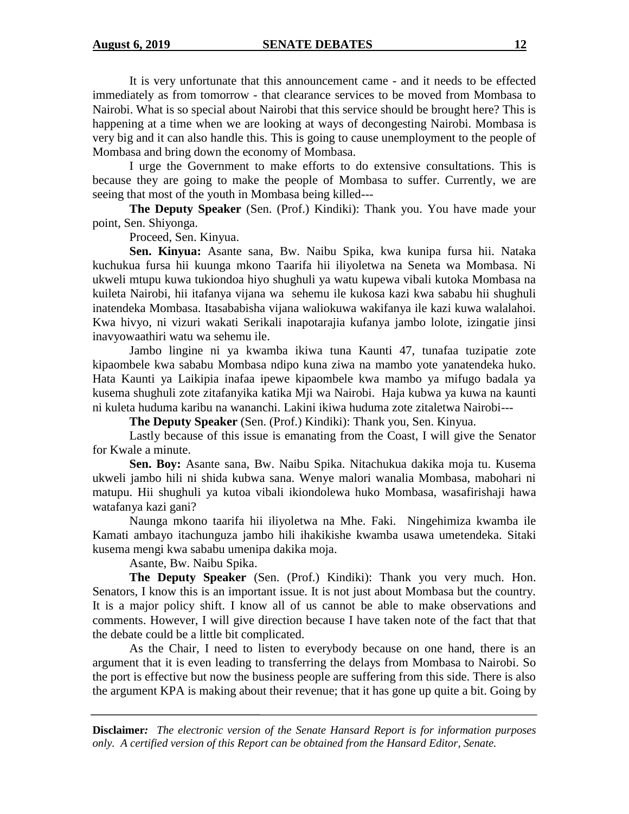It is very unfortunate that this announcement came - and it needs to be effected immediately as from tomorrow - that clearance services to be moved from Mombasa to Nairobi. What is so special about Nairobi that this service should be brought here? This is happening at a time when we are looking at ways of decongesting Nairobi. Mombasa is very big and it can also handle this. This is going to cause unemployment to the people of Mombasa and bring down the economy of Mombasa.

I urge the Government to make efforts to do extensive consultations. This is because they are going to make the people of Mombasa to suffer. Currently, we are seeing that most of the youth in Mombasa being killed---

**The Deputy Speaker** (Sen. (Prof.) Kindiki): Thank you. You have made your point, Sen. Shiyonga.

Proceed, Sen. Kinyua.

**Sen. Kinyua:** Asante sana, Bw. Naibu Spika, kwa kunipa fursa hii. Nataka kuchukua fursa hii kuunga mkono Taarifa hii iliyoletwa na Seneta wa Mombasa. Ni ukweli mtupu kuwa tukiondoa hiyo shughuli ya watu kupewa vibali kutoka Mombasa na kuileta Nairobi, hii itafanya vijana wa sehemu ile kukosa kazi kwa sababu hii shughuli inatendeka Mombasa. Itasababisha vijana waliokuwa wakifanya ile kazi kuwa walalahoi. Kwa hivyo, ni vizuri wakati Serikali inapotarajia kufanya jambo lolote, izingatie jinsi inavyowaathiri watu wa sehemu ile.

Jambo lingine ni ya kwamba ikiwa tuna Kaunti 47, tunafaa tuzipatie zote kipaombele kwa sababu Mombasa ndipo kuna ziwa na mambo yote yanatendeka huko. Hata Kaunti ya Laikipia inafaa ipewe kipaombele kwa mambo ya mifugo badala ya kusema shughuli zote zitafanyika katika Mji wa Nairobi. Haja kubwa ya kuwa na kaunti ni kuleta huduma karibu na wananchi. Lakini ikiwa huduma zote zitaletwa Nairobi---

**The Deputy Speaker** (Sen. (Prof.) Kindiki): Thank you, Sen. Kinyua.

Lastly because of this issue is emanating from the Coast, I will give the Senator for Kwale a minute.

**Sen. Boy:** Asante sana, Bw. Naibu Spika. Nitachukua dakika moja tu. Kusema ukweli jambo hili ni shida kubwa sana. Wenye malori wanalia Mombasa, mabohari ni matupu. Hii shughuli ya kutoa vibali ikiondolewa huko Mombasa, wasafirishaji hawa watafanya kazi gani?

Naunga mkono taarifa hii iliyoletwa na Mhe. Faki. Ningehimiza kwamba ile Kamati ambayo itachunguza jambo hili ihakikishe kwamba usawa umetendeka. Sitaki kusema mengi kwa sababu umenipa dakika moja.

Asante, Bw. Naibu Spika.

**The Deputy Speaker** (Sen. (Prof.) Kindiki): Thank you very much. Hon. Senators, I know this is an important issue. It is not just about Mombasa but the country. It is a major policy shift. I know all of us cannot be able to make observations and comments. However, I will give direction because I have taken note of the fact that that the debate could be a little bit complicated.

As the Chair, I need to listen to everybody because on one hand, there is an argument that it is even leading to transferring the delays from Mombasa to Nairobi. So the port is effective but now the business people are suffering from this side. There is also the argument KPA is making about their revenue; that it has gone up quite a bit. Going by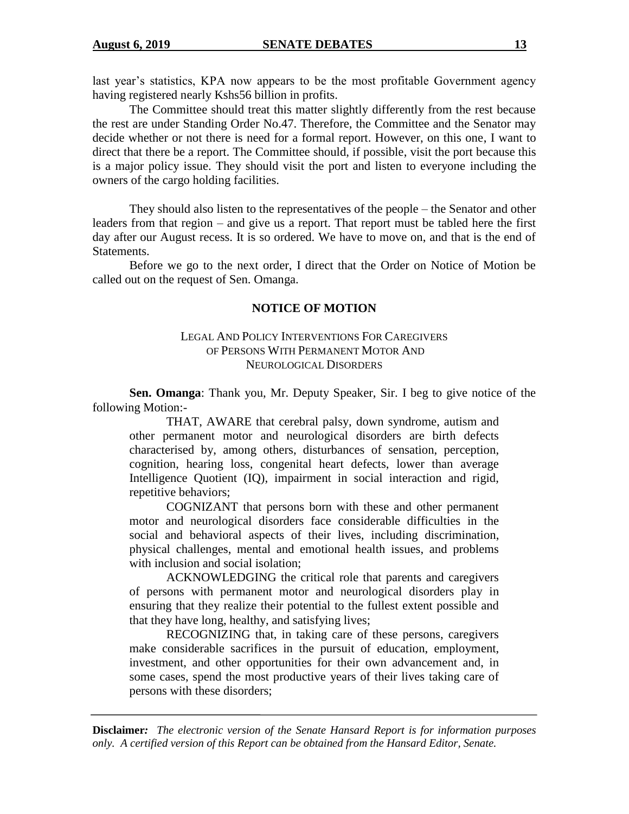last year's statistics, KPA now appears to be the most profitable Government agency having registered nearly Kshs56 billion in profits.

The Committee should treat this matter slightly differently from the rest because the rest are under Standing Order No.47. Therefore, the Committee and the Senator may decide whether or not there is need for a formal report. However, on this one, I want to direct that there be a report. The Committee should, if possible, visit the port because this is a major policy issue. They should visit the port and listen to everyone including the owners of the cargo holding facilities.

They should also listen to the representatives of the people – the Senator and other leaders from that region – and give us a report. That report must be tabled here the first day after our August recess. It is so ordered. We have to move on, and that is the end of Statements.

Before we go to the next order, I direct that the Order on Notice of Motion be called out on the request of Sen. Omanga.

#### **NOTICE OF MOTION**

### LEGAL AND POLICY INTERVENTIONS FOR CAREGIVERS OF PERSONS WITH PERMANENT MOTOR AND NEUROLOGICAL DISORDERS

**Sen. Omanga**: Thank you, Mr. Deputy Speaker, Sir. I beg to give notice of the following Motion:-

THAT, AWARE that cerebral palsy, down syndrome, autism and other permanent motor and neurological disorders are birth defects characterised by, among others, disturbances of sensation, perception, cognition, hearing loss, congenital heart defects, lower than average Intelligence Quotient (IQ), impairment in social interaction and rigid, repetitive behaviors;

COGNIZANT that persons born with these and other permanent motor and neurological disorders face considerable difficulties in the social and behavioral aspects of their lives, including discrimination, physical challenges, mental and emotional health issues, and problems with inclusion and social isolation:

ACKNOWLEDGING the critical role that parents and caregivers of persons with permanent motor and neurological disorders play in ensuring that they realize their potential to the fullest extent possible and that they have long, healthy, and satisfying lives;

RECOGNIZING that, in taking care of these persons, caregivers make considerable sacrifices in the pursuit of education, employment, investment, and other opportunities for their own advancement and, in some cases, spend the most productive years of their lives taking care of persons with these disorders;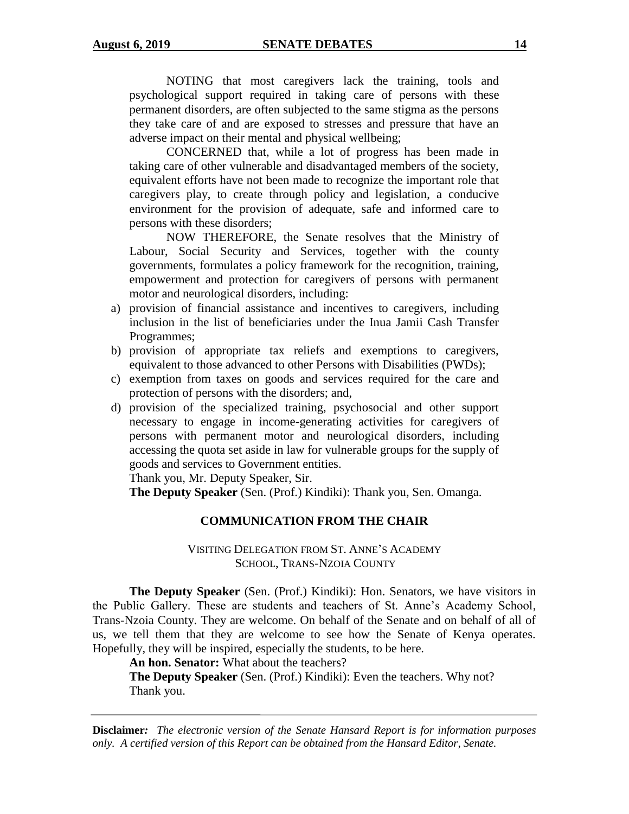NOTING that most caregivers lack the training, tools and psychological support required in taking care of persons with these permanent disorders, are often subjected to the same stigma as the persons they take care of and are exposed to stresses and pressure that have an adverse impact on their mental and physical wellbeing;

CONCERNED that, while a lot of progress has been made in taking care of other vulnerable and disadvantaged members of the society, equivalent efforts have not been made to recognize the important role that caregivers play, to create through policy and legislation, a conducive environment for the provision of adequate, safe and informed care to persons with these disorders;

NOW THEREFORE, the Senate resolves that the Ministry of Labour, Social Security and Services, together with the county governments, formulates a policy framework for the recognition, training, empowerment and protection for caregivers of persons with permanent motor and neurological disorders, including:

- a) provision of financial assistance and incentives to caregivers, including inclusion in the list of beneficiaries under the Inua Jamii Cash Transfer Programmes;
- b) provision of appropriate tax reliefs and exemptions to caregivers, equivalent to those advanced to other Persons with Disabilities (PWDs);
- c) exemption from taxes on goods and services required for the care and protection of persons with the disorders; and,
- d) provision of the specialized training, psychosocial and other support necessary to engage in income-generating activities for caregivers of persons with permanent motor and neurological disorders, including accessing the quota set aside in law for vulnerable groups for the supply of goods and services to Government entities.

Thank you, Mr. Deputy Speaker, Sir.

**The Deputy Speaker** (Sen. (Prof.) Kindiki): Thank you, Sen. Omanga.

# **COMMUNICATION FROM THE CHAIR**

# VISITING DELEGATION FROM ST. ANNE'S ACADEMY SCHOOL, TRANS-NZOIA COUNTY

**The Deputy Speaker** (Sen. (Prof.) Kindiki): Hon. Senators, we have visitors in the Public Gallery. These are students and teachers of St. Anne's Academy School, Trans-Nzoia County. They are welcome. On behalf of the Senate and on behalf of all of us, we tell them that they are welcome to see how the Senate of Kenya operates. Hopefully, they will be inspired, especially the students, to be here.

**An hon. Senator:** What about the teachers?

**The Deputy Speaker** (Sen. (Prof.) Kindiki): Even the teachers. Why not? Thank you.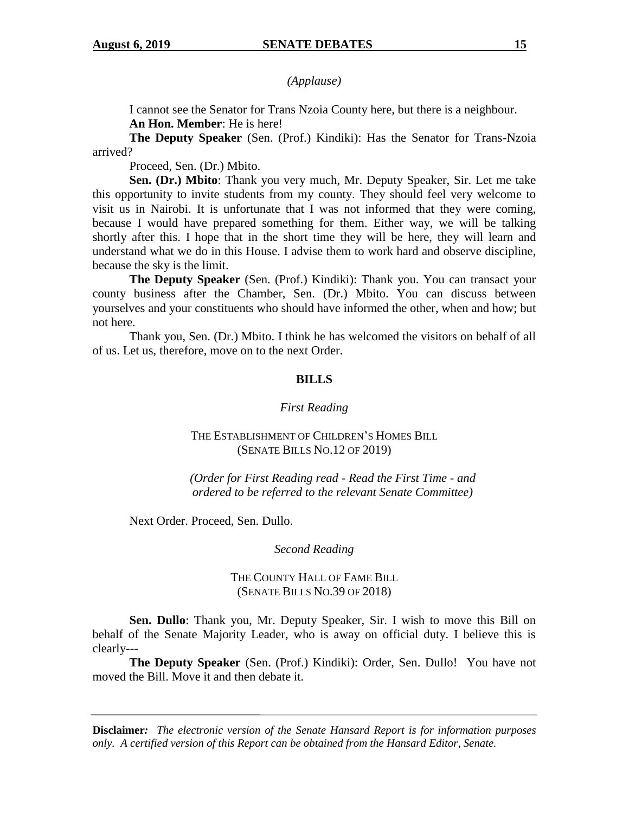*(Applause)*

I cannot see the Senator for Trans Nzoia County here, but there is a neighbour. **An Hon. Member**: He is here!

**The Deputy Speaker** (Sen. (Prof.) Kindiki): Has the Senator for Trans-Nzoia arrived?

Proceed, Sen. (Dr.) Mbito.

**Sen. (Dr.) Mbito**: Thank you very much, Mr. Deputy Speaker, Sir. Let me take this opportunity to invite students from my county. They should feel very welcome to visit us in Nairobi. It is unfortunate that I was not informed that they were coming, because I would have prepared something for them. Either way, we will be talking shortly after this. I hope that in the short time they will be here, they will learn and understand what we do in this House. I advise them to work hard and observe discipline, because the sky is the limit.

**The Deputy Speaker** (Sen. (Prof.) Kindiki): Thank you. You can transact your county business after the Chamber, Sen. (Dr.) Mbito. You can discuss between yourselves and your constituents who should have informed the other, when and how; but not here.

Thank you, Sen. (Dr.) Mbito. I think he has welcomed the visitors on behalf of all of us. Let us, therefore, move on to the next Order.

#### **BILLS**

#### *First Reading*

# THE ESTABLISHMENT OF CHILDREN'S HOMES BILL (SENATE BILLS NO.12 OF 2019)

*(Order for First Reading read - Read the First Time - and ordered to be referred to the relevant Senate Committee)*

Next Order. Proceed, Sen. Dullo.

#### *Second Reading*

# THE COUNTY HALL OF FAME BILL (SENATE BILLS NO.39 OF 2018)

**Sen. Dullo**: Thank you, Mr. Deputy Speaker, Sir. I wish to move this Bill on behalf of the Senate Majority Leader, who is away on official duty. I believe this is clearly---

**The Deputy Speaker** (Sen. (Prof.) Kindiki): Order, Sen. Dullo! You have not moved the Bill. Move it and then debate it.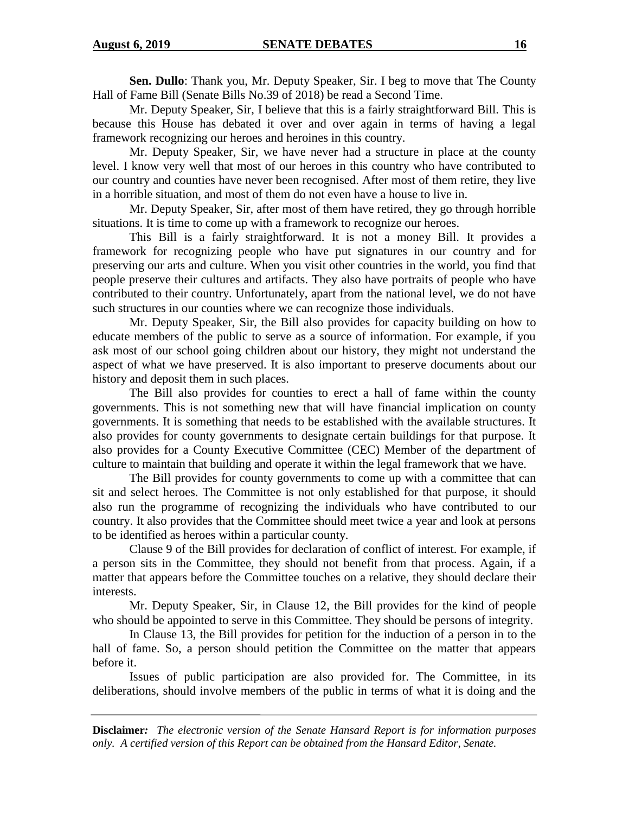**Sen. Dullo**: Thank you, Mr. Deputy Speaker, Sir. I beg to move that The County Hall of Fame Bill (Senate Bills No.39 of 2018) be read a Second Time.

Mr. Deputy Speaker, Sir, I believe that this is a fairly straightforward Bill. This is because this House has debated it over and over again in terms of having a legal framework recognizing our heroes and heroines in this country.

Mr. Deputy Speaker, Sir, we have never had a structure in place at the county level. I know very well that most of our heroes in this country who have contributed to our country and counties have never been recognised. After most of them retire, they live in a horrible situation, and most of them do not even have a house to live in.

Mr. Deputy Speaker, Sir, after most of them have retired, they go through horrible situations. It is time to come up with a framework to recognize our heroes.

This Bill is a fairly straightforward. It is not a money Bill. It provides a framework for recognizing people who have put signatures in our country and for preserving our arts and culture. When you visit other countries in the world, you find that people preserve their cultures and artifacts. They also have portraits of people who have contributed to their country. Unfortunately, apart from the national level, we do not have such structures in our counties where we can recognize those individuals.

Mr. Deputy Speaker, Sir, the Bill also provides for capacity building on how to educate members of the public to serve as a source of information. For example, if you ask most of our school going children about our history, they might not understand the aspect of what we have preserved. It is also important to preserve documents about our history and deposit them in such places.

The Bill also provides for counties to erect a hall of fame within the county governments. This is not something new that will have financial implication on county governments. It is something that needs to be established with the available structures. It also provides for county governments to designate certain buildings for that purpose. It also provides for a County Executive Committee (CEC) Member of the department of culture to maintain that building and operate it within the legal framework that we have.

The Bill provides for county governments to come up with a committee that can sit and select heroes. The Committee is not only established for that purpose, it should also run the programme of recognizing the individuals who have contributed to our country. It also provides that the Committee should meet twice a year and look at persons to be identified as heroes within a particular county.

Clause 9 of the Bill provides for declaration of conflict of interest. For example, if a person sits in the Committee, they should not benefit from that process. Again, if a matter that appears before the Committee touches on a relative, they should declare their interests.

Mr. Deputy Speaker, Sir, in Clause 12, the Bill provides for the kind of people who should be appointed to serve in this Committee. They should be persons of integrity.

In Clause 13, the Bill provides for petition for the induction of a person in to the hall of fame. So, a person should petition the Committee on the matter that appears before it.

Issues of public participation are also provided for. The Committee, in its deliberations, should involve members of the public in terms of what it is doing and the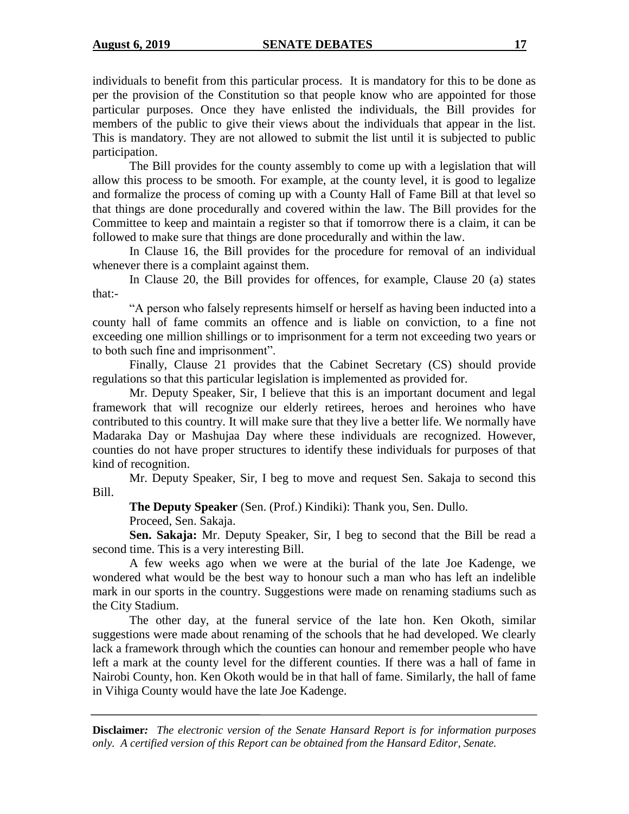individuals to benefit from this particular process. It is mandatory for this to be done as per the provision of the Constitution so that people know who are appointed for those particular purposes. Once they have enlisted the individuals, the Bill provides for members of the public to give their views about the individuals that appear in the list. This is mandatory. They are not allowed to submit the list until it is subjected to public participation.

The Bill provides for the county assembly to come up with a legislation that will allow this process to be smooth. For example, at the county level, it is good to legalize and formalize the process of coming up with a County Hall of Fame Bill at that level so that things are done procedurally and covered within the law. The Bill provides for the Committee to keep and maintain a register so that if tomorrow there is a claim, it can be followed to make sure that things are done procedurally and within the law.

In Clause 16, the Bill provides for the procedure for removal of an individual whenever there is a complaint against them.

In Clause 20, the Bill provides for offences, for example, Clause 20 (a) states that:-

"A person who falsely represents himself or herself as having been inducted into a county hall of fame commits an offence and is liable on conviction, to a fine not exceeding one million shillings or to imprisonment for a term not exceeding two years or to both such fine and imprisonment".

Finally, Clause 21 provides that the Cabinet Secretary (CS) should provide regulations so that this particular legislation is implemented as provided for.

Mr. Deputy Speaker, Sir, I believe that this is an important document and legal framework that will recognize our elderly retirees, heroes and heroines who have contributed to this country. It will make sure that they live a better life. We normally have Madaraka Day or Mashujaa Day where these individuals are recognized. However, counties do not have proper structures to identify these individuals for purposes of that kind of recognition.

Mr. Deputy Speaker, Sir, I beg to move and request Sen. Sakaja to second this Bill.

**The Deputy Speaker** (Sen. (Prof.) Kindiki): Thank you, Sen. Dullo.

Proceed, Sen. Sakaja.

**Sen. Sakaja:** Mr. Deputy Speaker, Sir, I beg to second that the Bill be read a second time. This is a very interesting Bill.

A few weeks ago when we were at the burial of the late Joe Kadenge, we wondered what would be the best way to honour such a man who has left an indelible mark in our sports in the country. Suggestions were made on renaming stadiums such as the City Stadium.

The other day, at the funeral service of the late hon. Ken Okoth, similar suggestions were made about renaming of the schools that he had developed. We clearly lack a framework through which the counties can honour and remember people who have left a mark at the county level for the different counties. If there was a hall of fame in Nairobi County, hon. Ken Okoth would be in that hall of fame. Similarly, the hall of fame in Vihiga County would have the late Joe Kadenge.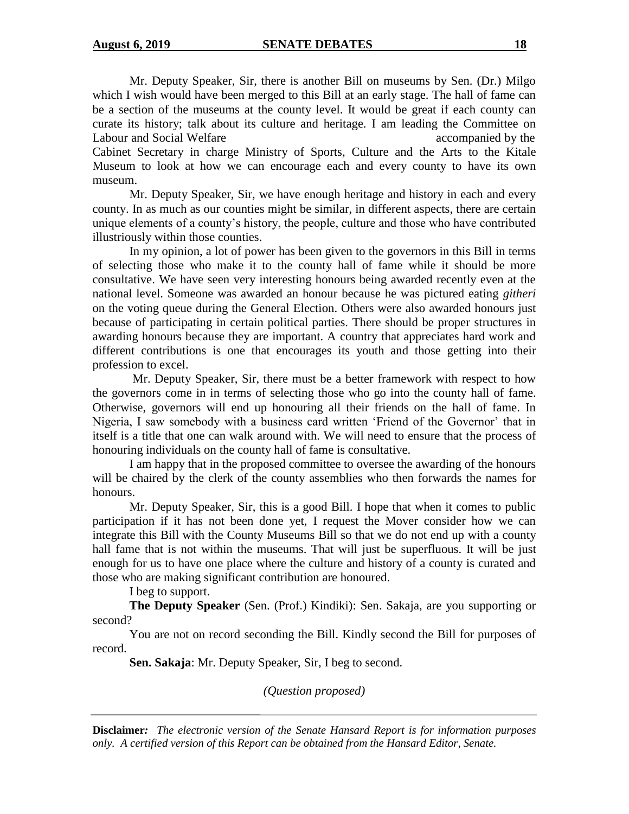Mr. Deputy Speaker, Sir, there is another Bill on museums by Sen. (Dr.) Milgo which I wish would have been merged to this Bill at an early stage. The hall of fame can be a section of the museums at the county level. It would be great if each county can curate its history; talk about its culture and heritage. I am leading the Committee on Labour and Social Welfare accompanied by the Labour accompanied by the Labour accompanied by the Labour accompanied by the Labour accompanied by the Labour accompanied by the Labour accompanied by the Labour accompanied by Cabinet Secretary in charge Ministry of Sports, Culture and the Arts to the Kitale Museum to look at how we can encourage each and every county to have its own museum.

Mr. Deputy Speaker, Sir, we have enough heritage and history in each and every county. In as much as our counties might be similar, in different aspects, there are certain unique elements of a county's history, the people, culture and those who have contributed illustriously within those counties.

In my opinion, a lot of power has been given to the governors in this Bill in terms of selecting those who make it to the county hall of fame while it should be more consultative. We have seen very interesting honours being awarded recently even at the national level. Someone was awarded an honour because he was pictured eating *githeri* on the voting queue during the General Election. Others were also awarded honours just because of participating in certain political parties. There should be proper structures in awarding honours because they are important. A country that appreciates hard work and different contributions is one that encourages its youth and those getting into their profession to excel.

Mr. Deputy Speaker, Sir, there must be a better framework with respect to how the governors come in in terms of selecting those who go into the county hall of fame. Otherwise, governors will end up honouring all their friends on the hall of fame. In Nigeria, I saw somebody with a business card written 'Friend of the Governor' that in itself is a title that one can walk around with. We will need to ensure that the process of honouring individuals on the county hall of fame is consultative.

I am happy that in the proposed committee to oversee the awarding of the honours will be chaired by the clerk of the county assemblies who then forwards the names for honours.

Mr. Deputy Speaker, Sir, this is a good Bill. I hope that when it comes to public participation if it has not been done yet, I request the Mover consider how we can integrate this Bill with the County Museums Bill so that we do not end up with a county hall fame that is not within the museums. That will just be superfluous. It will be just enough for us to have one place where the culture and history of a county is curated and those who are making significant contribution are honoured.

I beg to support.

**The Deputy Speaker** (Sen. (Prof.) Kindiki): Sen. Sakaja, are you supporting or second?

You are not on record seconding the Bill. Kindly second the Bill for purposes of record.

**Sen. Sakaja**: Mr. Deputy Speaker, Sir, I beg to second.

*(Question proposed)*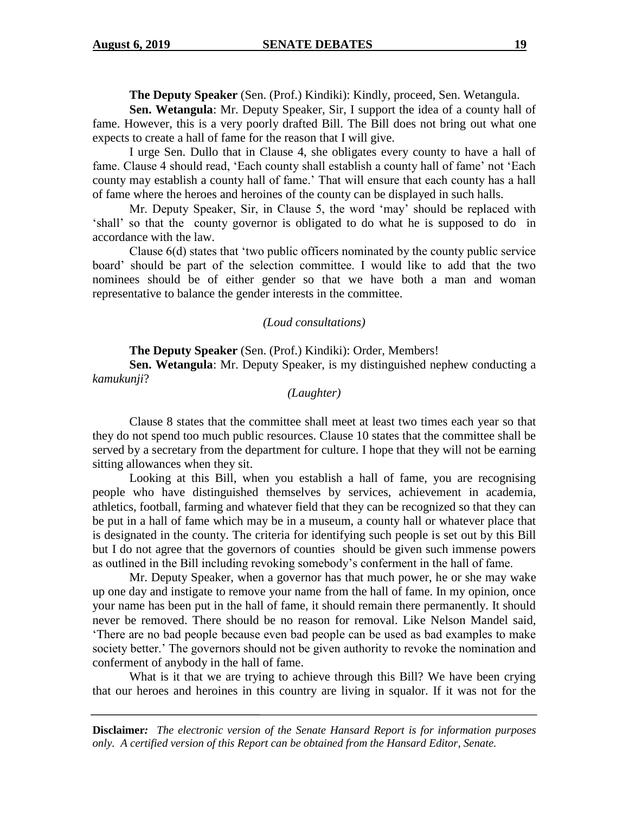**The Deputy Speaker** (Sen. (Prof.) Kindiki): Kindly, proceed, Sen. Wetangula.

**Sen. Wetangula**: Mr. Deputy Speaker, Sir, I support the idea of a county hall of fame. However, this is a very poorly drafted Bill. The Bill does not bring out what one expects to create a hall of fame for the reason that I will give.

I urge Sen. Dullo that in Clause 4, she obligates every county to have a hall of fame. Clause 4 should read, 'Each county shall establish a county hall of fame' not 'Each county may establish a county hall of fame.' That will ensure that each county has a hall of fame where the heroes and heroines of the county can be displayed in such halls.

Mr. Deputy Speaker, Sir, in Clause 5, the word 'may' should be replaced with 'shall' so that the county governor is obligated to do what he is supposed to do in accordance with the law.

Clause  $6(d)$  states that 'two public officers nominated by the county public service board' should be part of the selection committee. I would like to add that the two nominees should be of either gender so that we have both a man and woman representative to balance the gender interests in the committee.

#### *(Loud consultations)*

**The Deputy Speaker** (Sen. (Prof.) Kindiki): Order, Members!

**Sen. Wetangula**: Mr. Deputy Speaker, is my distinguished nephew conducting a *kamukunji*?

#### *(Laughter)*

Clause 8 states that the committee shall meet at least two times each year so that they do not spend too much public resources. Clause 10 states that the committee shall be served by a secretary from the department for culture. I hope that they will not be earning sitting allowances when they sit.

Looking at this Bill, when you establish a hall of fame, you are recognising people who have distinguished themselves by services, achievement in academia, athletics, football, farming and whatever field that they can be recognized so that they can be put in a hall of fame which may be in a museum, a county hall or whatever place that is designated in the county. The criteria for identifying such people is set out by this Bill but I do not agree that the governors of counties should be given such immense powers as outlined in the Bill including revoking somebody's conferment in the hall of fame.

Mr. Deputy Speaker, when a governor has that much power, he or she may wake up one day and instigate to remove your name from the hall of fame. In my opinion, once your name has been put in the hall of fame, it should remain there permanently. It should never be removed. There should be no reason for removal. Like Nelson Mandel said, 'There are no bad people because even bad people can be used as bad examples to make society better.' The governors should not be given authority to revoke the nomination and conferment of anybody in the hall of fame.

What is it that we are trying to achieve through this Bill? We have been crying that our heroes and heroines in this country are living in squalor. If it was not for the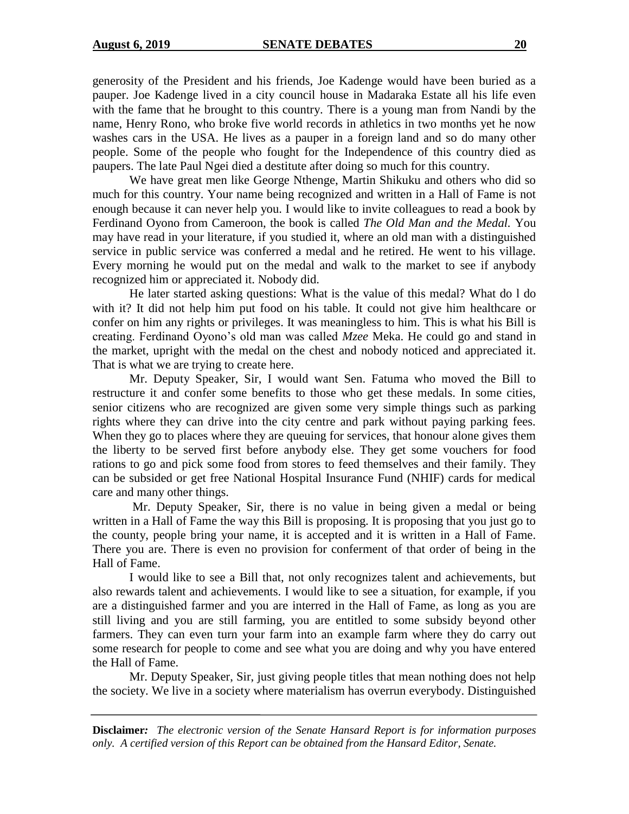generosity of the President and his friends, Joe Kadenge would have been buried as a pauper. Joe Kadenge lived in a city council house in Madaraka Estate all his life even with the fame that he brought to this country. There is a young man from Nandi by the name, Henry Rono, who broke five world records in athletics in two months yet he now washes cars in the USA. He lives as a pauper in a foreign land and so do many other people. Some of the people who fought for the Independence of this country died as paupers. The late Paul Ngei died a destitute after doing so much for this country.

We have great men like George Nthenge, Martin Shikuku and others who did so much for this country. Your name being recognized and written in a Hall of Fame is not enough because it can never help you. I would like to invite colleagues to read a book by Ferdinand Oyono from Cameroon, the book is called *The Old Man and the Medal.* You may have read in your literature, if you studied it, where an old man with a distinguished service in public service was conferred a medal and he retired. He went to his village. Every morning he would put on the medal and walk to the market to see if anybody recognized him or appreciated it. Nobody did.

He later started asking questions: What is the value of this medal? What do l do with it? It did not help him put food on his table. It could not give him healthcare or confer on him any rights or privileges. It was meaningless to him. This is what his Bill is creating. Ferdinand Oyono's old man was called *Mzee* Meka. He could go and stand in the market, upright with the medal on the chest and nobody noticed and appreciated it. That is what we are trying to create here.

Mr. Deputy Speaker, Sir, I would want Sen. Fatuma who moved the Bill to restructure it and confer some benefits to those who get these medals. In some cities, senior citizens who are recognized are given some very simple things such as parking rights where they can drive into the city centre and park without paying parking fees. When they go to places where they are queuing for services, that honour alone gives them the liberty to be served first before anybody else. They get some vouchers for food rations to go and pick some food from stores to feed themselves and their family. They can be subsided or get free National Hospital Insurance Fund (NHIF) cards for medical care and many other things.

Mr. Deputy Speaker, Sir, there is no value in being given a medal or being written in a Hall of Fame the way this Bill is proposing. It is proposing that you just go to the county, people bring your name, it is accepted and it is written in a Hall of Fame. There you are. There is even no provision for conferment of that order of being in the Hall of Fame.

I would like to see a Bill that, not only recognizes talent and achievements, but also rewards talent and achievements. I would like to see a situation, for example, if you are a distinguished farmer and you are interred in the Hall of Fame, as long as you are still living and you are still farming, you are entitled to some subsidy beyond other farmers. They can even turn your farm into an example farm where they do carry out some research for people to come and see what you are doing and why you have entered the Hall of Fame.

Mr. Deputy Speaker, Sir, just giving people titles that mean nothing does not help the society. We live in a society where materialism has overrun everybody. Distinguished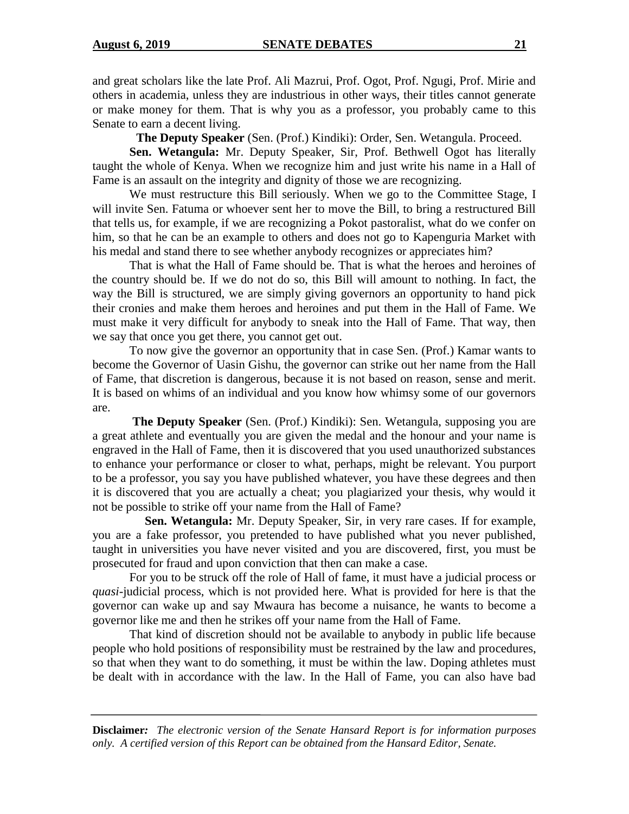and great scholars like the late Prof. Ali Mazrui, Prof. Ogot, Prof. Ngugi, Prof. Mirie and others in academia, unless they are industrious in other ways, their titles cannot generate or make money for them. That is why you as a professor, you probably came to this Senate to earn a decent living.

**The Deputy Speaker** (Sen. (Prof.) Kindiki): Order, Sen. Wetangula. Proceed.

**Sen. Wetangula:** Mr. Deputy Speaker, Sir, Prof. Bethwell Ogot has literally taught the whole of Kenya. When we recognize him and just write his name in a Hall of Fame is an assault on the integrity and dignity of those we are recognizing.

We must restructure this Bill seriously. When we go to the Committee Stage, I will invite Sen. Fatuma or whoever sent her to move the Bill, to bring a restructured Bill that tells us, for example, if we are recognizing a Pokot pastoralist, what do we confer on him, so that he can be an example to others and does not go to Kapenguria Market with his medal and stand there to see whether anybody recognizes or appreciates him?

That is what the Hall of Fame should be. That is what the heroes and heroines of the country should be. If we do not do so, this Bill will amount to nothing. In fact, the way the Bill is structured, we are simply giving governors an opportunity to hand pick their cronies and make them heroes and heroines and put them in the Hall of Fame. We must make it very difficult for anybody to sneak into the Hall of Fame. That way, then we say that once you get there, you cannot get out.

To now give the governor an opportunity that in case Sen. (Prof.) Kamar wants to become the Governor of Uasin Gishu, the governor can strike out her name from the Hall of Fame, that discretion is dangerous, because it is not based on reason, sense and merit. It is based on whims of an individual and you know how whimsy some of our governors are.

**The Deputy Speaker** (Sen. (Prof.) Kindiki): Sen. Wetangula, supposing you are a great athlete and eventually you are given the medal and the honour and your name is engraved in the Hall of Fame, then it is discovered that you used unauthorized substances to enhance your performance or closer to what, perhaps, might be relevant. You purport to be a professor, you say you have published whatever, you have these degrees and then it is discovered that you are actually a cheat; you plagiarized your thesis, why would it not be possible to strike off your name from the Hall of Fame?

 **Sen. Wetangula:** Mr. Deputy Speaker, Sir, in very rare cases. If for example, you are a fake professor, you pretended to have published what you never published, taught in universities you have never visited and you are discovered, first, you must be prosecuted for fraud and upon conviction that then can make a case.

For you to be struck off the role of Hall of fame, it must have a judicial process or *quasi*-judicial process, which is not provided here. What is provided for here is that the governor can wake up and say Mwaura has become a nuisance, he wants to become a governor like me and then he strikes off your name from the Hall of Fame.

That kind of discretion should not be available to anybody in public life because people who hold positions of responsibility must be restrained by the law and procedures, so that when they want to do something, it must be within the law. Doping athletes must be dealt with in accordance with the law. In the Hall of Fame, you can also have bad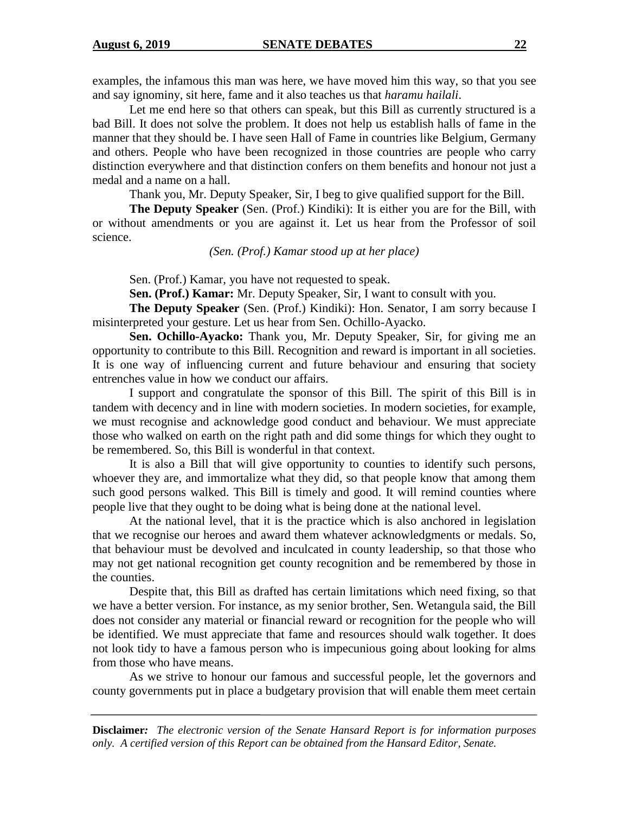examples, the infamous this man was here, we have moved him this way, so that you see and say ignominy, sit here, fame and it also teaches us that *haramu hailali*.

Let me end here so that others can speak, but this Bill as currently structured is a bad Bill. It does not solve the problem. It does not help us establish halls of fame in the manner that they should be. I have seen Hall of Fame in countries like Belgium, Germany and others. People who have been recognized in those countries are people who carry distinction everywhere and that distinction confers on them benefits and honour not just a medal and a name on a hall.

Thank you, Mr. Deputy Speaker, Sir, I beg to give qualified support for the Bill.

**The Deputy Speaker** (Sen. (Prof.) Kindiki): It is either you are for the Bill, with or without amendments or you are against it. Let us hear from the Professor of soil science.

*(Sen. (Prof.) Kamar stood up at her place)*

Sen. (Prof.) Kamar, you have not requested to speak.

**Sen. (Prof.) Kamar:** Mr. Deputy Speaker, Sir, I want to consult with you.

**The Deputy Speaker** (Sen. (Prof.) Kindiki): Hon. Senator, I am sorry because I misinterpreted your gesture. Let us hear from Sen. Ochillo-Ayacko.

**Sen. Ochillo-Ayacko:** Thank you, Mr. Deputy Speaker, Sir, for giving me an opportunity to contribute to this Bill. Recognition and reward is important in all societies. It is one way of influencing current and future behaviour and ensuring that society entrenches value in how we conduct our affairs.

I support and congratulate the sponsor of this Bill. The spirit of this Bill is in tandem with decency and in line with modern societies. In modern societies, for example, we must recognise and acknowledge good conduct and behaviour. We must appreciate those who walked on earth on the right path and did some things for which they ought to be remembered. So, this Bill is wonderful in that context.

It is also a Bill that will give opportunity to counties to identify such persons, whoever they are, and immortalize what they did, so that people know that among them such good persons walked. This Bill is timely and good. It will remind counties where people live that they ought to be doing what is being done at the national level.

At the national level, that it is the practice which is also anchored in legislation that we recognise our heroes and award them whatever acknowledgments or medals. So, that behaviour must be devolved and inculcated in county leadership, so that those who may not get national recognition get county recognition and be remembered by those in the counties.

Despite that, this Bill as drafted has certain limitations which need fixing, so that we have a better version. For instance, as my senior brother, Sen. Wetangula said, the Bill does not consider any material or financial reward or recognition for the people who will be identified. We must appreciate that fame and resources should walk together. It does not look tidy to have a famous person who is impecunious going about looking for alms from those who have means.

As we strive to honour our famous and successful people, let the governors and county governments put in place a budgetary provision that will enable them meet certain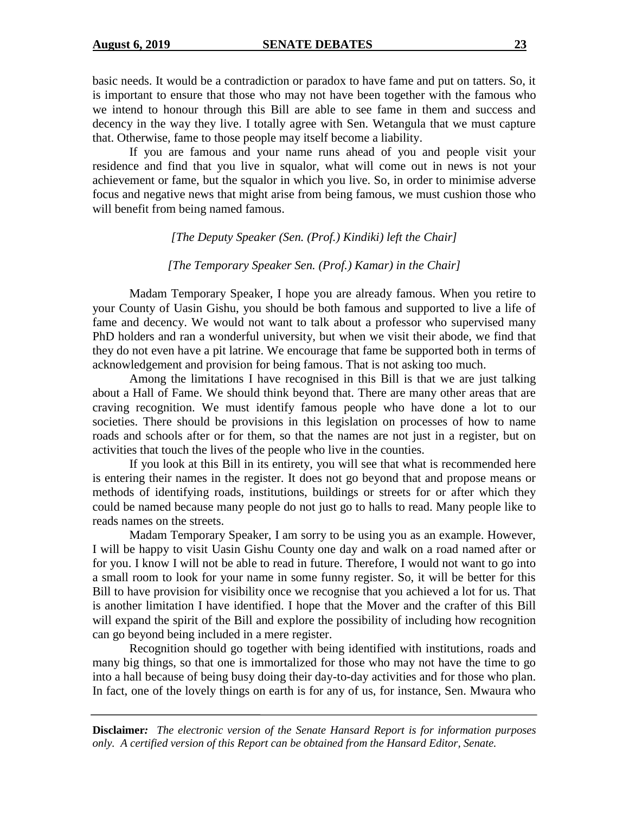basic needs. It would be a contradiction or paradox to have fame and put on tatters. So, it is important to ensure that those who may not have been together with the famous who we intend to honour through this Bill are able to see fame in them and success and decency in the way they live. I totally agree with Sen. Wetangula that we must capture that. Otherwise, fame to those people may itself become a liability.

If you are famous and your name runs ahead of you and people visit your residence and find that you live in squalor, what will come out in news is not your achievement or fame, but the squalor in which you live. So, in order to minimise adverse focus and negative news that might arise from being famous, we must cushion those who will benefit from being named famous.

*[The Deputy Speaker (Sen. (Prof.) Kindiki) left the Chair]*

*[The Temporary Speaker Sen. (Prof.) Kamar) in the Chair]*

Madam Temporary Speaker, I hope you are already famous. When you retire to your County of Uasin Gishu, you should be both famous and supported to live a life of fame and decency. We would not want to talk about a professor who supervised many PhD holders and ran a wonderful university, but when we visit their abode, we find that they do not even have a pit latrine. We encourage that fame be supported both in terms of acknowledgement and provision for being famous. That is not asking too much.

Among the limitations I have recognised in this Bill is that we are just talking about a Hall of Fame. We should think beyond that. There are many other areas that are craving recognition. We must identify famous people who have done a lot to our societies. There should be provisions in this legislation on processes of how to name roads and schools after or for them, so that the names are not just in a register, but on activities that touch the lives of the people who live in the counties.

If you look at this Bill in its entirety, you will see that what is recommended here is entering their names in the register. It does not go beyond that and propose means or methods of identifying roads, institutions, buildings or streets for or after which they could be named because many people do not just go to halls to read. Many people like to reads names on the streets.

Madam Temporary Speaker, I am sorry to be using you as an example. However, I will be happy to visit Uasin Gishu County one day and walk on a road named after or for you. I know I will not be able to read in future. Therefore, I would not want to go into a small room to look for your name in some funny register. So, it will be better for this Bill to have provision for visibility once we recognise that you achieved a lot for us. That is another limitation I have identified. I hope that the Mover and the crafter of this Bill will expand the spirit of the Bill and explore the possibility of including how recognition can go beyond being included in a mere register.

Recognition should go together with being identified with institutions, roads and many big things, so that one is immortalized for those who may not have the time to go into a hall because of being busy doing their day-to-day activities and for those who plan. In fact, one of the lovely things on earth is for any of us, for instance, Sen. Mwaura who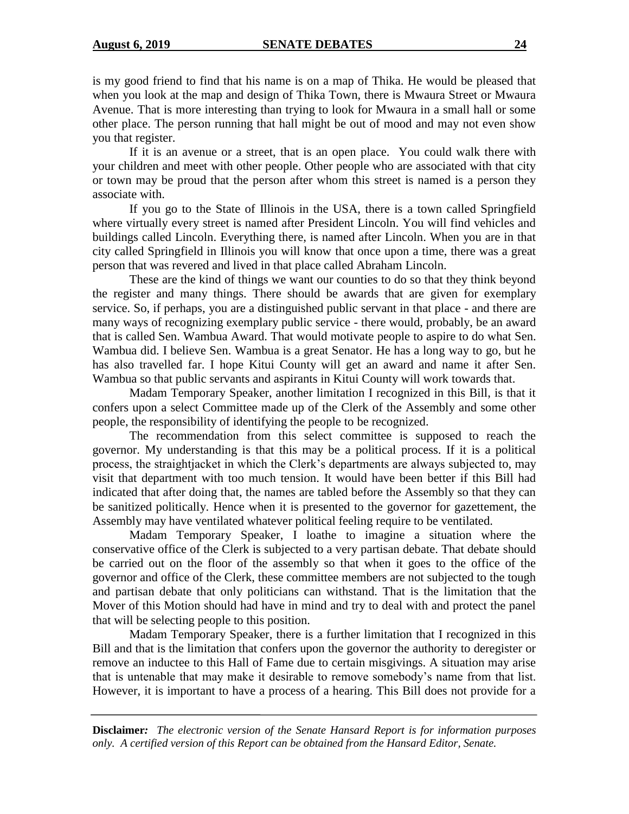is my good friend to find that his name is on a map of Thika. He would be pleased that when you look at the map and design of Thika Town, there is Mwaura Street or Mwaura Avenue. That is more interesting than trying to look for Mwaura in a small hall or some other place. The person running that hall might be out of mood and may not even show you that register.

If it is an avenue or a street, that is an open place. You could walk there with your children and meet with other people. Other people who are associated with that city or town may be proud that the person after whom this street is named is a person they associate with.

If you go to the State of Illinois in the USA, there is a town called Springfield where virtually every street is named after President Lincoln. You will find vehicles and buildings called Lincoln. Everything there, is named after Lincoln. When you are in that city called Springfield in Illinois you will know that once upon a time, there was a great person that was revered and lived in that place called Abraham Lincoln.

These are the kind of things we want our counties to do so that they think beyond the register and many things. There should be awards that are given for exemplary service. So, if perhaps, you are a distinguished public servant in that place - and there are many ways of recognizing exemplary public service - there would, probably, be an award that is called Sen. Wambua Award. That would motivate people to aspire to do what Sen. Wambua did. I believe Sen. Wambua is a great Senator. He has a long way to go, but he has also travelled far. I hope Kitui County will get an award and name it after Sen. Wambua so that public servants and aspirants in Kitui County will work towards that.

Madam Temporary Speaker, another limitation I recognized in this Bill, is that it confers upon a select Committee made up of the Clerk of the Assembly and some other people, the responsibility of identifying the people to be recognized.

The recommendation from this select committee is supposed to reach the governor. My understanding is that this may be a political process. If it is a political process, the straightjacket in which the Clerk's departments are always subjected to, may visit that department with too much tension. It would have been better if this Bill had indicated that after doing that, the names are tabled before the Assembly so that they can be sanitized politically. Hence when it is presented to the governor for gazettement, the Assembly may have ventilated whatever political feeling require to be ventilated.

Madam Temporary Speaker, I loathe to imagine a situation where the conservative office of the Clerk is subjected to a very partisan debate. That debate should be carried out on the floor of the assembly so that when it goes to the office of the governor and office of the Clerk, these committee members are not subjected to the tough and partisan debate that only politicians can withstand. That is the limitation that the Mover of this Motion should had have in mind and try to deal with and protect the panel that will be selecting people to this position.

Madam Temporary Speaker, there is a further limitation that I recognized in this Bill and that is the limitation that confers upon the governor the authority to deregister or remove an inductee to this Hall of Fame due to certain misgivings. A situation may arise that is untenable that may make it desirable to remove somebody's name from that list. However, it is important to have a process of a hearing. This Bill does not provide for a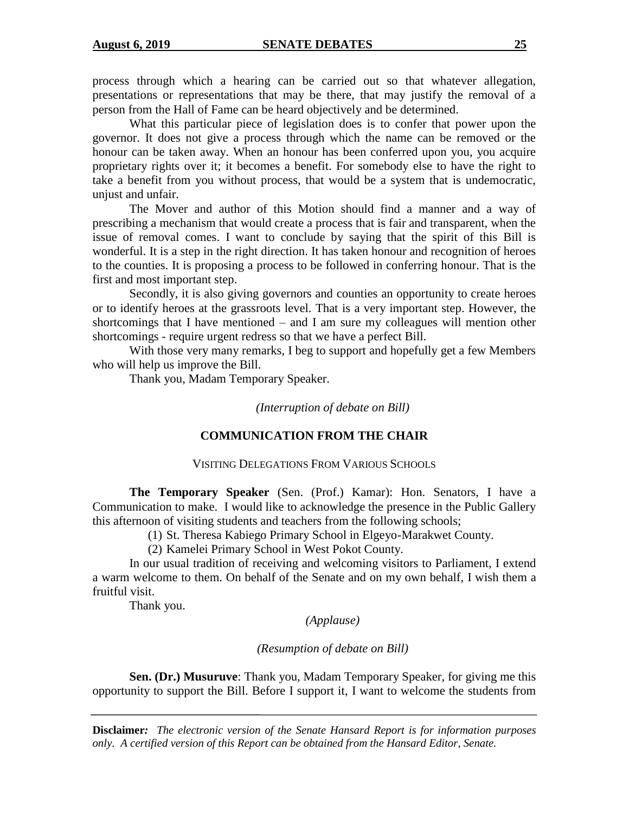process through which a hearing can be carried out so that whatever allegation, presentations or representations that may be there, that may justify the removal of a person from the Hall of Fame can be heard objectively and be determined.

What this particular piece of legislation does is to confer that power upon the governor. It does not give a process through which the name can be removed or the honour can be taken away. When an honour has been conferred upon you, you acquire proprietary rights over it; it becomes a benefit. For somebody else to have the right to take a benefit from you without process, that would be a system that is undemocratic, unjust and unfair.

The Mover and author of this Motion should find a manner and a way of prescribing a mechanism that would create a process that is fair and transparent, when the issue of removal comes. I want to conclude by saying that the spirit of this Bill is wonderful. It is a step in the right direction. It has taken honour and recognition of heroes to the counties. It is proposing a process to be followed in conferring honour. That is the first and most important step.

Secondly, it is also giving governors and counties an opportunity to create heroes or to identify heroes at the grassroots level. That is a very important step. However, the shortcomings that I have mentioned – and I am sure my colleagues will mention other shortcomings - require urgent redress so that we have a perfect Bill.

With those very many remarks, I beg to support and hopefully get a few Members who will help us improve the Bill.

Thank you, Madam Temporary Speaker.

*(Interruption of debate on Bill)*

# **COMMUNICATION FROM THE CHAIR**

#### VISITING DELEGATIONS FROM VARIOUS SCHOOLS

**The Temporary Speaker** (Sen. (Prof.) Kamar): Hon. Senators, I have a Communication to make. I would like to acknowledge the presence in the Public Gallery this afternoon of visiting students and teachers from the following schools;

(1) St. Theresa Kabiego Primary School in Elgeyo-Marakwet County.

(2) Kamelei Primary School in West Pokot County.

In our usual tradition of receiving and welcoming visitors to Parliament, I extend a warm welcome to them. On behalf of the Senate and on my own behalf, I wish them a fruitful visit.

Thank you.

*(Applause)*

*(Resumption of debate on Bill)*

**Sen. (Dr.) Musuruve**: Thank you, Madam Temporary Speaker, for giving me this opportunity to support the Bill. Before I support it, I want to welcome the students from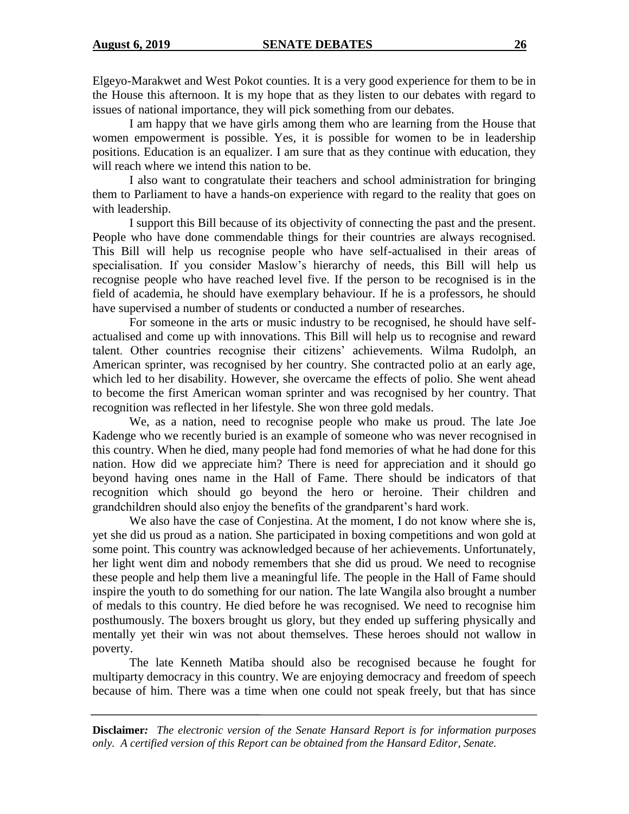Elgeyo-Marakwet and West Pokot counties. It is a very good experience for them to be in the House this afternoon. It is my hope that as they listen to our debates with regard to issues of national importance, they will pick something from our debates.

I am happy that we have girls among them who are learning from the House that women empowerment is possible. Yes, it is possible for women to be in leadership positions. Education is an equalizer. I am sure that as they continue with education, they will reach where we intend this nation to be.

I also want to congratulate their teachers and school administration for bringing them to Parliament to have a hands-on experience with regard to the reality that goes on with leadership.

I support this Bill because of its objectivity of connecting the past and the present. People who have done commendable things for their countries are always recognised. This Bill will help us recognise people who have self-actualised in their areas of specialisation. If you consider Maslow's hierarchy of needs, this Bill will help us recognise people who have reached level five. If the person to be recognised is in the field of academia, he should have exemplary behaviour. If he is a professors, he should have supervised a number of students or conducted a number of researches.

For someone in the arts or music industry to be recognised, he should have selfactualised and come up with innovations. This Bill will help us to recognise and reward talent. Other countries recognise their citizens' achievements. Wilma Rudolph, an American sprinter, was recognised by her country. She contracted polio at an early age, which led to her disability. However, she overcame the effects of polio. She went ahead to become the first American woman sprinter and was recognised by her country. That recognition was reflected in her lifestyle. She won three gold medals.

We, as a nation, need to recognise people who make us proud. The late Joe Kadenge who we recently buried is an example of someone who was never recognised in this country. When he died, many people had fond memories of what he had done for this nation. How did we appreciate him? There is need for appreciation and it should go beyond having ones name in the Hall of Fame. There should be indicators of that recognition which should go beyond the hero or heroine. Their children and grandchildren should also enjoy the benefits of the grandparent's hard work.

We also have the case of Conjestina. At the moment, I do not know where she is, yet she did us proud as a nation. She participated in boxing competitions and won gold at some point. This country was acknowledged because of her achievements. Unfortunately, her light went dim and nobody remembers that she did us proud. We need to recognise these people and help them live a meaningful life. The people in the Hall of Fame should inspire the youth to do something for our nation. The late Wangila also brought a number of medals to this country. He died before he was recognised. We need to recognise him posthumously. The boxers brought us glory, but they ended up suffering physically and mentally yet their win was not about themselves. These heroes should not wallow in poverty.

The late Kenneth Matiba should also be recognised because he fought for multiparty democracy in this country. We are enjoying democracy and freedom of speech because of him. There was a time when one could not speak freely, but that has since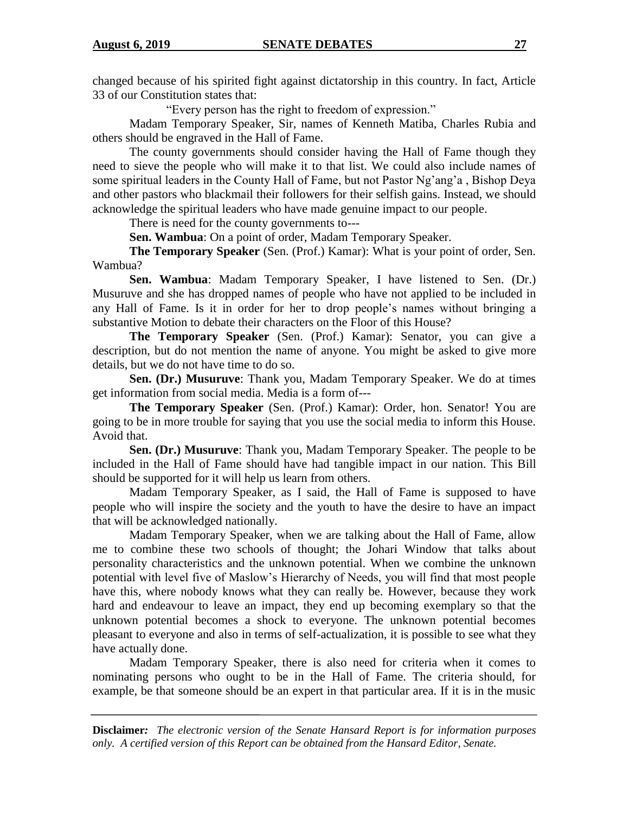changed because of his spirited fight against dictatorship in this country. In fact, Article 33 of our Constitution states that:

"Every person has the right to freedom of expression."

Madam Temporary Speaker, Sir, names of Kenneth Matiba, Charles Rubia and others should be engraved in the Hall of Fame.

The county governments should consider having the Hall of Fame though they need to sieve the people who will make it to that list. We could also include names of some spiritual leaders in the County Hall of Fame, but not Pastor Ng'ang'a , Bishop Deya and other pastors who blackmail their followers for their selfish gains. Instead, we should acknowledge the spiritual leaders who have made genuine impact to our people.

There is need for the county governments to---

**Sen. Wambua**: On a point of order, Madam Temporary Speaker.

**The Temporary Speaker** (Sen. (Prof.) Kamar): What is your point of order, Sen. Wambua?

**Sen. Wambua**: Madam Temporary Speaker, I have listened to Sen. (Dr.) Musuruve and she has dropped names of people who have not applied to be included in any Hall of Fame. Is it in order for her to drop people's names without bringing a substantive Motion to debate their characters on the Floor of this House?

**The Temporary Speaker** (Sen. (Prof.) Kamar): Senator, you can give a description, but do not mention the name of anyone. You might be asked to give more details, but we do not have time to do so.

**Sen. (Dr.) Musuruve**: Thank you, Madam Temporary Speaker. We do at times get information from social media. Media is a form of---

**The Temporary Speaker** (Sen. (Prof.) Kamar): Order, hon. Senator! You are going to be in more trouble for saying that you use the social media to inform this House. Avoid that.

**Sen. (Dr.) Musuruve**: Thank you, Madam Temporary Speaker. The people to be included in the Hall of Fame should have had tangible impact in our nation. This Bill should be supported for it will help us learn from others.

Madam Temporary Speaker, as I said, the Hall of Fame is supposed to have people who will inspire the society and the youth to have the desire to have an impact that will be acknowledged nationally.

Madam Temporary Speaker, when we are talking about the Hall of Fame, allow me to combine these two schools of thought; the Johari Window that talks about personality characteristics and the unknown potential. When we combine the unknown potential with level five of Maslow's Hierarchy of Needs, you will find that most people have this, where nobody knows what they can really be. However, because they work hard and endeavour to leave an impact, they end up becoming exemplary so that the unknown potential becomes a shock to everyone. The unknown potential becomes pleasant to everyone and also in terms of self-actualization, it is possible to see what they have actually done.

Madam Temporary Speaker, there is also need for criteria when it comes to nominating persons who ought to be in the Hall of Fame. The criteria should, for example, be that someone should be an expert in that particular area. If it is in the music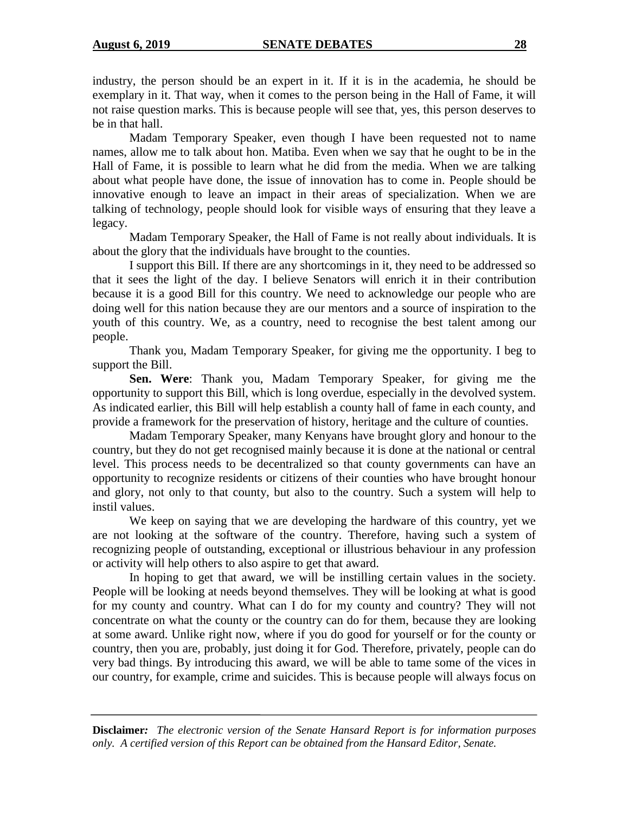industry, the person should be an expert in it. If it is in the academia, he should be exemplary in it. That way, when it comes to the person being in the Hall of Fame, it will not raise question marks. This is because people will see that, yes, this person deserves to be in that hall.

Madam Temporary Speaker, even though I have been requested not to name names, allow me to talk about hon. Matiba. Even when we say that he ought to be in the Hall of Fame, it is possible to learn what he did from the media. When we are talking about what people have done, the issue of innovation has to come in. People should be innovative enough to leave an impact in their areas of specialization. When we are talking of technology, people should look for visible ways of ensuring that they leave a legacy.

Madam Temporary Speaker, the Hall of Fame is not really about individuals. It is about the glory that the individuals have brought to the counties.

I support this Bill. If there are any shortcomings in it, they need to be addressed so that it sees the light of the day. I believe Senators will enrich it in their contribution because it is a good Bill for this country. We need to acknowledge our people who are doing well for this nation because they are our mentors and a source of inspiration to the youth of this country. We, as a country, need to recognise the best talent among our people.

Thank you, Madam Temporary Speaker, for giving me the opportunity. I beg to support the Bill.

**Sen. Were**: Thank you, Madam Temporary Speaker, for giving me the opportunity to support this Bill, which is long overdue, especially in the devolved system. As indicated earlier, this Bill will help establish a county hall of fame in each county, and provide a framework for the preservation of history, heritage and the culture of counties.

Madam Temporary Speaker, many Kenyans have brought glory and honour to the country, but they do not get recognised mainly because it is done at the national or central level. This process needs to be decentralized so that county governments can have an opportunity to recognize residents or citizens of their counties who have brought honour and glory, not only to that county, but also to the country. Such a system will help to instil values.

We keep on saying that we are developing the hardware of this country, yet we are not looking at the software of the country. Therefore, having such a system of recognizing people of outstanding, exceptional or illustrious behaviour in any profession or activity will help others to also aspire to get that award.

In hoping to get that award, we will be instilling certain values in the society. People will be looking at needs beyond themselves. They will be looking at what is good for my county and country. What can I do for my county and country? They will not concentrate on what the county or the country can do for them, because they are looking at some award. Unlike right now, where if you do good for yourself or for the county or country, then you are, probably, just doing it for God. Therefore, privately, people can do very bad things. By introducing this award, we will be able to tame some of the vices in our country, for example, crime and suicides. This is because people will always focus on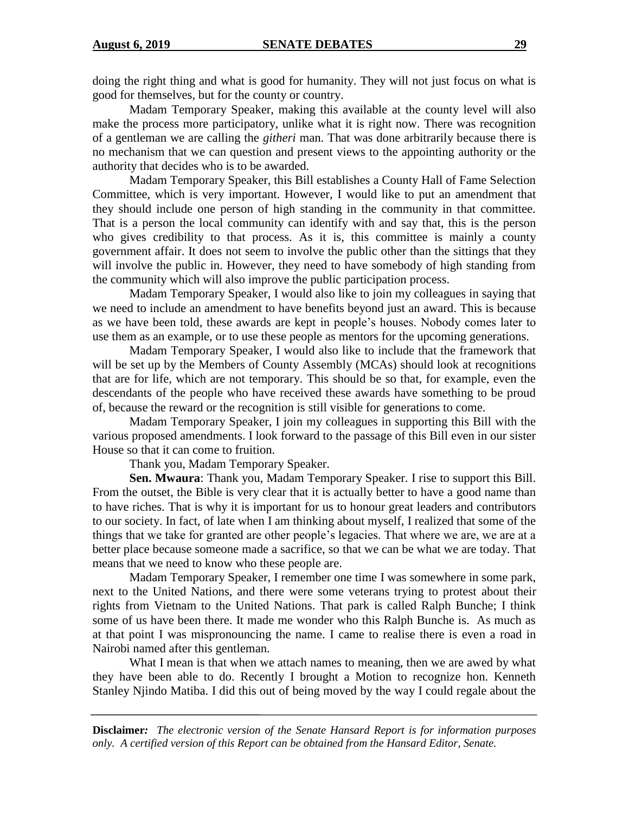doing the right thing and what is good for humanity. They will not just focus on what is good for themselves, but for the county or country.

Madam Temporary Speaker, making this available at the county level will also make the process more participatory, unlike what it is right now. There was recognition of a gentleman we are calling the *githeri* man. That was done arbitrarily because there is no mechanism that we can question and present views to the appointing authority or the authority that decides who is to be awarded.

Madam Temporary Speaker, this Bill establishes a County Hall of Fame Selection Committee, which is very important. However, I would like to put an amendment that they should include one person of high standing in the community in that committee. That is a person the local community can identify with and say that, this is the person who gives credibility to that process. As it is, this committee is mainly a county government affair. It does not seem to involve the public other than the sittings that they will involve the public in. However, they need to have somebody of high standing from the community which will also improve the public participation process.

Madam Temporary Speaker, I would also like to join my colleagues in saying that we need to include an amendment to have benefits beyond just an award. This is because as we have been told, these awards are kept in people's houses. Nobody comes later to use them as an example, or to use these people as mentors for the upcoming generations.

Madam Temporary Speaker, I would also like to include that the framework that will be set up by the Members of County Assembly (MCAs) should look at recognitions that are for life, which are not temporary. This should be so that, for example, even the descendants of the people who have received these awards have something to be proud of, because the reward or the recognition is still visible for generations to come.

Madam Temporary Speaker, I join my colleagues in supporting this Bill with the various proposed amendments. I look forward to the passage of this Bill even in our sister House so that it can come to fruition.

Thank you, Madam Temporary Speaker.

**Sen. Mwaura**: Thank you, Madam Temporary Speaker. I rise to support this Bill. From the outset, the Bible is very clear that it is actually better to have a good name than to have riches. That is why it is important for us to honour great leaders and contributors to our society. In fact, of late when I am thinking about myself, I realized that some of the things that we take for granted are other people's legacies. That where we are, we are at a better place because someone made a sacrifice, so that we can be what we are today. That means that we need to know who these people are.

Madam Temporary Speaker, I remember one time I was somewhere in some park, next to the United Nations, and there were some veterans trying to protest about their rights from Vietnam to the United Nations. That park is called Ralph Bunche; I think some of us have been there. It made me wonder who this Ralph Bunche is. As much as at that point I was mispronouncing the name. I came to realise there is even a road in Nairobi named after this gentleman.

What I mean is that when we attach names to meaning, then we are awed by what they have been able to do. Recently I brought a Motion to recognize hon. Kenneth Stanley Njindo Matiba. I did this out of being moved by the way I could regale about the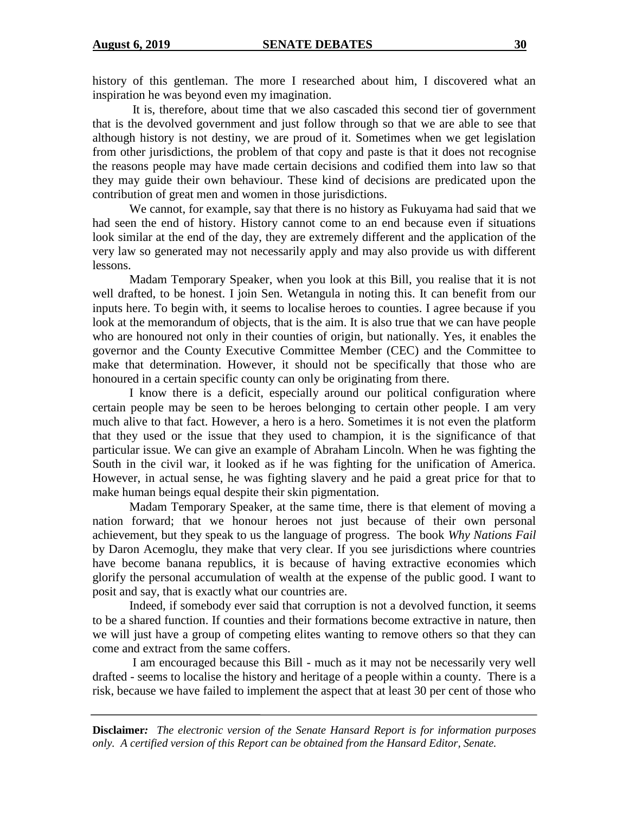history of this gentleman. The more I researched about him, I discovered what an inspiration he was beyond even my imagination.

It is, therefore, about time that we also cascaded this second tier of government that is the devolved government and just follow through so that we are able to see that although history is not destiny, we are proud of it. Sometimes when we get legislation from other jurisdictions, the problem of that copy and paste is that it does not recognise the reasons people may have made certain decisions and codified them into law so that they may guide their own behaviour. These kind of decisions are predicated upon the contribution of great men and women in those jurisdictions.

We cannot, for example, say that there is no history as Fukuyama had said that we had seen the end of history. History cannot come to an end because even if situations look similar at the end of the day, they are extremely different and the application of the very law so generated may not necessarily apply and may also provide us with different lessons.

Madam Temporary Speaker, when you look at this Bill, you realise that it is not well drafted, to be honest. I join Sen. Wetangula in noting this. It can benefit from our inputs here. To begin with, it seems to localise heroes to counties. I agree because if you look at the memorandum of objects, that is the aim. It is also true that we can have people who are honoured not only in their counties of origin, but nationally. Yes, it enables the governor and the County Executive Committee Member (CEC) and the Committee to make that determination. However, it should not be specifically that those who are honoured in a certain specific county can only be originating from there.

I know there is a deficit, especially around our political configuration where certain people may be seen to be heroes belonging to certain other people. I am very much alive to that fact. However, a hero is a hero. Sometimes it is not even the platform that they used or the issue that they used to champion, it is the significance of that particular issue. We can give an example of Abraham Lincoln. When he was fighting the South in the civil war, it looked as if he was fighting for the unification of America. However, in actual sense, he was fighting slavery and he paid a great price for that to make human beings equal despite their skin pigmentation.

Madam Temporary Speaker, at the same time, there is that element of moving a nation forward; that we honour heroes not just because of their own personal achievement, but they speak to us the language of progress. The book *Why Nations Fail*  by Daron Acemoglu, they make that very clear. If you see jurisdictions where countries have become banana republics, it is because of having extractive economies which glorify the personal accumulation of wealth at the expense of the public good. I want to posit and say, that is exactly what our countries are.

Indeed, if somebody ever said that corruption is not a devolved function, it seems to be a shared function. If counties and their formations become extractive in nature, then we will just have a group of competing elites wanting to remove others so that they can come and extract from the same coffers.

I am encouraged because this Bill - much as it may not be necessarily very well drafted - seems to localise the history and heritage of a people within a county. There is a risk, because we have failed to implement the aspect that at least 30 per cent of those who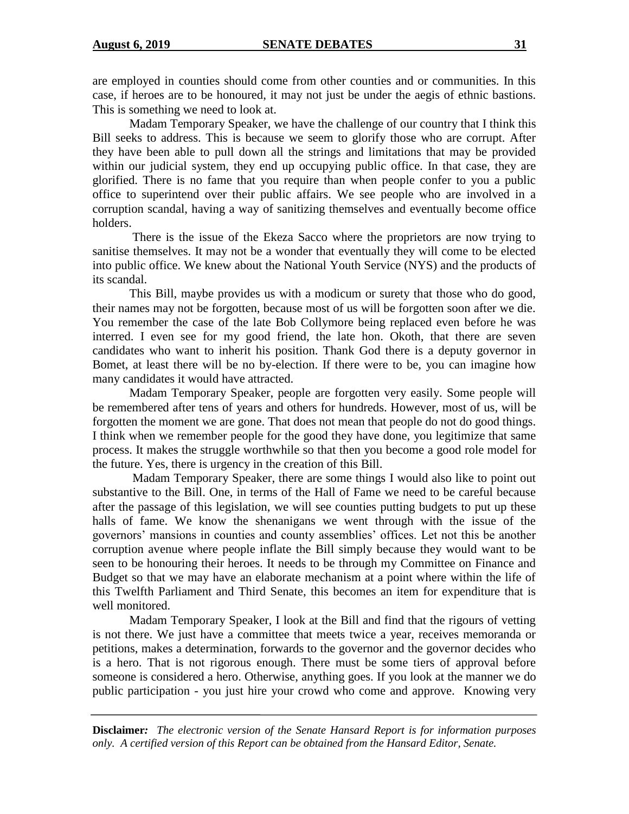are employed in counties should come from other counties and or communities. In this case, if heroes are to be honoured, it may not just be under the aegis of ethnic bastions. This is something we need to look at.

Madam Temporary Speaker, we have the challenge of our country that I think this Bill seeks to address. This is because we seem to glorify those who are corrupt. After they have been able to pull down all the strings and limitations that may be provided within our judicial system, they end up occupying public office. In that case, they are glorified. There is no fame that you require than when people confer to you a public office to superintend over their public affairs. We see people who are involved in a corruption scandal, having a way of sanitizing themselves and eventually become office holders.

There is the issue of the Ekeza Sacco where the proprietors are now trying to sanitise themselves. It may not be a wonder that eventually they will come to be elected into public office. We knew about the National Youth Service (NYS) and the products of its scandal.

This Bill, maybe provides us with a modicum or surety that those who do good, their names may not be forgotten, because most of us will be forgotten soon after we die. You remember the case of the late Bob Collymore being replaced even before he was interred. I even see for my good friend, the late hon. Okoth, that there are seven candidates who want to inherit his position. Thank God there is a deputy governor in Bomet, at least there will be no by-election. If there were to be, you can imagine how many candidates it would have attracted.

Madam Temporary Speaker, people are forgotten very easily. Some people will be remembered after tens of years and others for hundreds. However, most of us, will be forgotten the moment we are gone. That does not mean that people do not do good things. I think when we remember people for the good they have done, you legitimize that same process. It makes the struggle worthwhile so that then you become a good role model for the future. Yes, there is urgency in the creation of this Bill.

Madam Temporary Speaker, there are some things I would also like to point out substantive to the Bill. One, in terms of the Hall of Fame we need to be careful because after the passage of this legislation, we will see counties putting budgets to put up these halls of fame. We know the shenanigans we went through with the issue of the governors' mansions in counties and county assemblies' offices. Let not this be another corruption avenue where people inflate the Bill simply because they would want to be seen to be honouring their heroes. It needs to be through my Committee on Finance and Budget so that we may have an elaborate mechanism at a point where within the life of this Twelfth Parliament and Third Senate, this becomes an item for expenditure that is well monitored.

Madam Temporary Speaker, I look at the Bill and find that the rigours of vetting is not there. We just have a committee that meets twice a year, receives memoranda or petitions, makes a determination, forwards to the governor and the governor decides who is a hero. That is not rigorous enough. There must be some tiers of approval before someone is considered a hero. Otherwise, anything goes. If you look at the manner we do public participation - you just hire your crowd who come and approve. Knowing very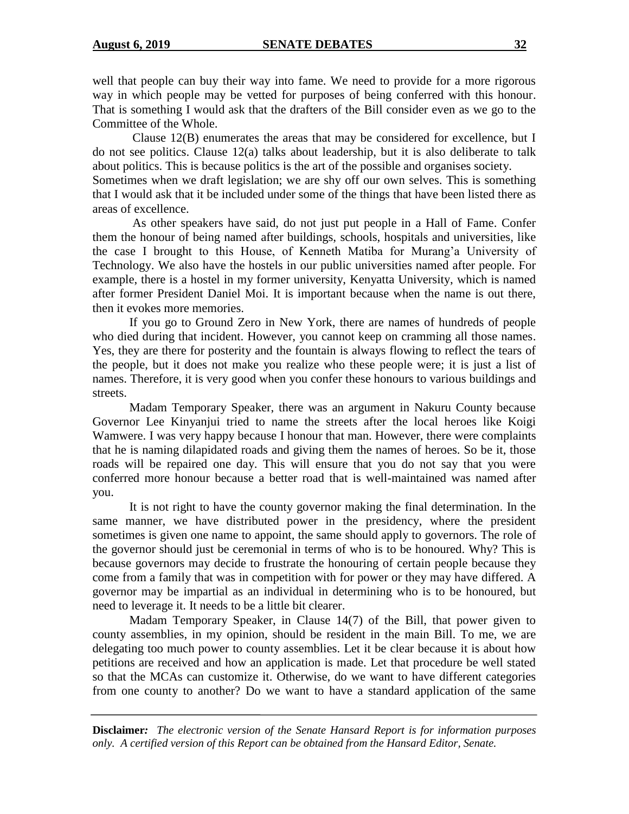well that people can buy their way into fame. We need to provide for a more rigorous way in which people may be vetted for purposes of being conferred with this honour. That is something I would ask that the drafters of the Bill consider even as we go to the Committee of the Whole.

Clause 12(B) enumerates the areas that may be considered for excellence, but I do not see politics. Clause 12(a) talks about leadership, but it is also deliberate to talk about politics. This is because politics is the art of the possible and organises society. Sometimes when we draft legislation; we are shy off our own selves. This is something that I would ask that it be included under some of the things that have been listed there as areas of excellence.

As other speakers have said, do not just put people in a Hall of Fame. Confer them the honour of being named after buildings, schools, hospitals and universities, like the case I brought to this House, of Kenneth Matiba for Murang'a University of Technology. We also have the hostels in our public universities named after people. For example, there is a hostel in my former university, Kenyatta University, which is named after former President Daniel Moi. It is important because when the name is out there, then it evokes more memories.

If you go to Ground Zero in New York, there are names of hundreds of people who died during that incident. However, you cannot keep on cramming all those names. Yes, they are there for posterity and the fountain is always flowing to reflect the tears of the people, but it does not make you realize who these people were; it is just a list of names. Therefore, it is very good when you confer these honours to various buildings and streets.

Madam Temporary Speaker, there was an argument in Nakuru County because Governor Lee Kinyanjui tried to name the streets after the local heroes like Koigi Wamwere. I was very happy because I honour that man. However, there were complaints that he is naming dilapidated roads and giving them the names of heroes. So be it, those roads will be repaired one day. This will ensure that you do not say that you were conferred more honour because a better road that is well-maintained was named after you.

It is not right to have the county governor making the final determination. In the same manner, we have distributed power in the presidency, where the president sometimes is given one name to appoint, the same should apply to governors. The role of the governor should just be ceremonial in terms of who is to be honoured. Why? This is because governors may decide to frustrate the honouring of certain people because they come from a family that was in competition with for power or they may have differed. A governor may be impartial as an individual in determining who is to be honoured, but need to leverage it. It needs to be a little bit clearer.

Madam Temporary Speaker, in Clause 14(7) of the Bill, that power given to county assemblies, in my opinion, should be resident in the main Bill. To me, we are delegating too much power to county assemblies. Let it be clear because it is about how petitions are received and how an application is made. Let that procedure be well stated so that the MCAs can customize it. Otherwise, do we want to have different categories from one county to another? Do we want to have a standard application of the same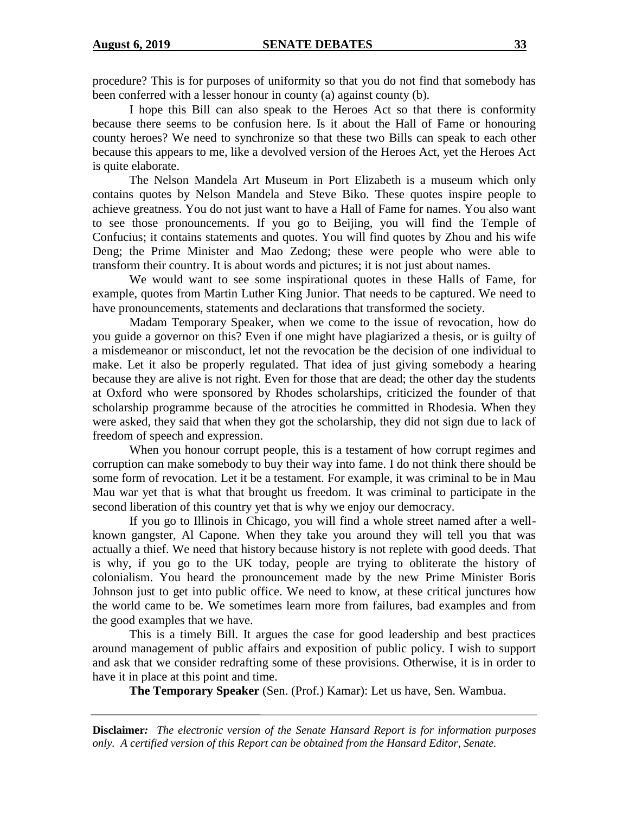procedure? This is for purposes of uniformity so that you do not find that somebody has been conferred with a lesser honour in county (a) against county (b).

I hope this Bill can also speak to the Heroes Act so that there is conformity because there seems to be confusion here. Is it about the Hall of Fame or honouring county heroes? We need to synchronize so that these two Bills can speak to each other because this appears to me, like a devolved version of the Heroes Act, yet the Heroes Act is quite elaborate.

The Nelson Mandela Art Museum in Port Elizabeth is a museum which only contains quotes by Nelson Mandela and Steve Biko. These quotes inspire people to achieve greatness. You do not just want to have a Hall of Fame for names. You also want to see those pronouncements. If you go to Beijing, you will find the Temple of Confucius; it contains statements and quotes. You will find quotes by Zhou and his wife Deng; the Prime Minister and Mao Zedong; these were people who were able to transform their country. It is about words and pictures; it is not just about names.

We would want to see some inspirational quotes in these Halls of Fame, for example, quotes from Martin Luther King Junior. That needs to be captured. We need to have pronouncements, statements and declarations that transformed the society.

Madam Temporary Speaker, when we come to the issue of revocation, how do you guide a governor on this? Even if one might have plagiarized a thesis, or is guilty of a misdemeanor or misconduct, let not the revocation be the decision of one individual to make. Let it also be properly regulated. That idea of just giving somebody a hearing because they are alive is not right. Even for those that are dead; the other day the students at Oxford who were sponsored by Rhodes scholarships, criticized the founder of that scholarship programme because of the atrocities he committed in Rhodesia. When they were asked, they said that when they got the scholarship, they did not sign due to lack of freedom of speech and expression.

When you honour corrupt people, this is a testament of how corrupt regimes and corruption can make somebody to buy their way into fame. I do not think there should be some form of revocation. Let it be a testament. For example, it was criminal to be in Mau Mau war yet that is what that brought us freedom. It was criminal to participate in the second liberation of this country yet that is why we enjoy our democracy.

If you go to Illinois in Chicago, you will find a whole street named after a wellknown gangster, Al Capone. When they take you around they will tell you that was actually a thief. We need that history because history is not replete with good deeds. That is why, if you go to the UK today, people are trying to obliterate the history of colonialism. You heard the pronouncement made by the new Prime Minister Boris Johnson just to get into public office. We need to know, at these critical junctures how the world came to be. We sometimes learn more from failures, bad examples and from the good examples that we have.

This is a timely Bill. It argues the case for good leadership and best practices around management of public affairs and exposition of public policy. I wish to support and ask that we consider redrafting some of these provisions. Otherwise, it is in order to have it in place at this point and time.

**The Temporary Speaker** (Sen. (Prof.) Kamar): Let us have, Sen. Wambua.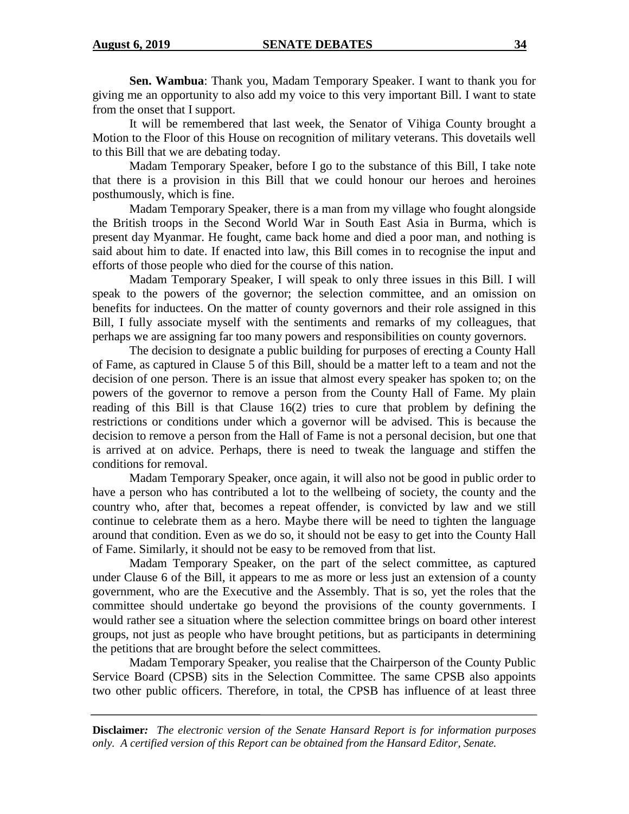**Sen. Wambua**: Thank you, Madam Temporary Speaker. I want to thank you for giving me an opportunity to also add my voice to this very important Bill. I want to state from the onset that I support.

It will be remembered that last week, the Senator of Vihiga County brought a Motion to the Floor of this House on recognition of military veterans. This dovetails well to this Bill that we are debating today.

Madam Temporary Speaker, before I go to the substance of this Bill, I take note that there is a provision in this Bill that we could honour our heroes and heroines posthumously, which is fine.

Madam Temporary Speaker, there is a man from my village who fought alongside the British troops in the Second World War in South East Asia in Burma, which is present day Myanmar. He fought, came back home and died a poor man, and nothing is said about him to date. If enacted into law, this Bill comes in to recognise the input and efforts of those people who died for the course of this nation.

Madam Temporary Speaker, I will speak to only three issues in this Bill. I will speak to the powers of the governor; the selection committee, and an omission on benefits for inductees. On the matter of county governors and their role assigned in this Bill, I fully associate myself with the sentiments and remarks of my colleagues, that perhaps we are assigning far too many powers and responsibilities on county governors.

The decision to designate a public building for purposes of erecting a County Hall of Fame, as captured in Clause 5 of this Bill, should be a matter left to a team and not the decision of one person. There is an issue that almost every speaker has spoken to; on the powers of the governor to remove a person from the County Hall of Fame. My plain reading of this Bill is that Clause 16(2) tries to cure that problem by defining the restrictions or conditions under which a governor will be advised. This is because the decision to remove a person from the Hall of Fame is not a personal decision, but one that is arrived at on advice. Perhaps, there is need to tweak the language and stiffen the conditions for removal.

Madam Temporary Speaker, once again, it will also not be good in public order to have a person who has contributed a lot to the wellbeing of society, the county and the country who, after that, becomes a repeat offender, is convicted by law and we still continue to celebrate them as a hero. Maybe there will be need to tighten the language around that condition. Even as we do so, it should not be easy to get into the County Hall of Fame. Similarly, it should not be easy to be removed from that list.

Madam Temporary Speaker, on the part of the select committee, as captured under Clause 6 of the Bill, it appears to me as more or less just an extension of a county government, who are the Executive and the Assembly. That is so, yet the roles that the committee should undertake go beyond the provisions of the county governments. I would rather see a situation where the selection committee brings on board other interest groups, not just as people who have brought petitions, but as participants in determining the petitions that are brought before the select committees.

Madam Temporary Speaker, you realise that the Chairperson of the County Public Service Board (CPSB) sits in the Selection Committee. The same CPSB also appoints two other public officers. Therefore, in total, the CPSB has influence of at least three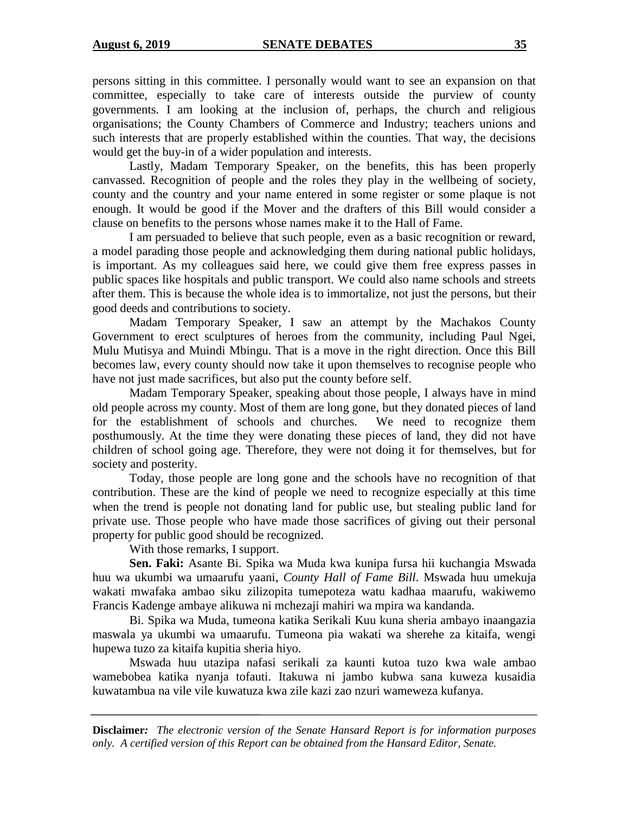persons sitting in this committee. I personally would want to see an expansion on that committee, especially to take care of interests outside the purview of county governments. I am looking at the inclusion of, perhaps, the church and religious organisations; the County Chambers of Commerce and Industry; teachers unions and such interests that are properly established within the counties. That way, the decisions would get the buy-in of a wider population and interests.

Lastly, Madam Temporary Speaker, on the benefits, this has been properly canvassed. Recognition of people and the roles they play in the wellbeing of society, county and the country and your name entered in some register or some plaque is not enough. It would be good if the Mover and the drafters of this Bill would consider a clause on benefits to the persons whose names make it to the Hall of Fame.

I am persuaded to believe that such people, even as a basic recognition or reward, a model parading those people and acknowledging them during national public holidays, is important. As my colleagues said here, we could give them free express passes in public spaces like hospitals and public transport. We could also name schools and streets after them. This is because the whole idea is to immortalize, not just the persons, but their good deeds and contributions to society.

Madam Temporary Speaker, I saw an attempt by the Machakos County Government to erect sculptures of heroes from the community, including Paul Ngei, Mulu Mutisya and Muindi Mbingu. That is a move in the right direction. Once this Bill becomes law, every county should now take it upon themselves to recognise people who have not just made sacrifices, but also put the county before self.

Madam Temporary Speaker, speaking about those people, I always have in mind old people across my county. Most of them are long gone, but they donated pieces of land for the establishment of schools and churches. We need to recognize them posthumously. At the time they were donating these pieces of land, they did not have children of school going age. Therefore, they were not doing it for themselves, but for society and posterity.

Today, those people are long gone and the schools have no recognition of that contribution. These are the kind of people we need to recognize especially at this time when the trend is people not donating land for public use, but stealing public land for private use. Those people who have made those sacrifices of giving out their personal property for public good should be recognized.

With those remarks, I support.

**Sen. Faki:** Asante Bi. Spika wa Muda kwa kunipa fursa hii kuchangia Mswada huu wa ukumbi wa umaarufu yaani, *County Hall of Fame Bill*. Mswada huu umekuja wakati mwafaka ambao siku zilizopita tumepoteza watu kadhaa maarufu, wakiwemo Francis Kadenge ambaye alikuwa ni mchezaji mahiri wa mpira wa kandanda.

Bi. Spika wa Muda, tumeona katika Serikali Kuu kuna sheria ambayo inaangazia maswala ya ukumbi wa umaarufu. Tumeona pia wakati wa sherehe za kitaifa, wengi hupewa tuzo za kitaifa kupitia sheria hiyo.

Mswada huu utazipa nafasi serikali za kaunti kutoa tuzo kwa wale ambao wamebobea katika nyanja tofauti. Itakuwa ni jambo kubwa sana kuweza kusaidia kuwatambua na vile vile kuwatuza kwa zile kazi zao nzuri wameweza kufanya.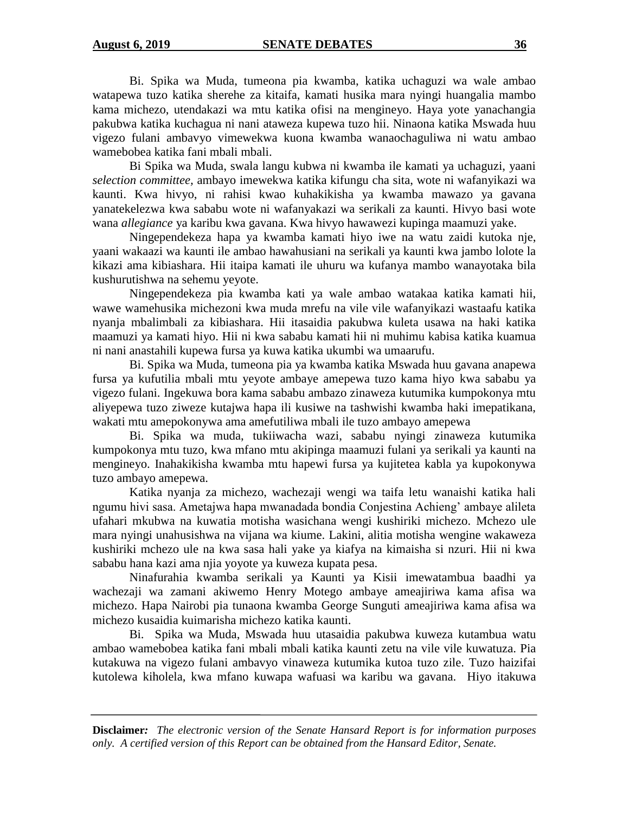Bi. Spika wa Muda, tumeona pia kwamba, katika uchaguzi wa wale ambao watapewa tuzo katika sherehe za kitaifa, kamati husika mara nyingi huangalia mambo kama michezo, utendakazi wa mtu katika ofisi na mengineyo. Haya yote yanachangia pakubwa katika kuchagua ni nani ataweza kupewa tuzo hii. Ninaona katika Mswada huu vigezo fulani ambavyo vimewekwa kuona kwamba wanaochaguliwa ni watu ambao wamebobea katika fani mbali mbali.

Bi Spika wa Muda, swala langu kubwa ni kwamba ile kamati ya uchaguzi, yaani *selection committee,* ambayo imewekwa katika kifungu cha sita, wote ni wafanyikazi wa kaunti. Kwa hivyo, ni rahisi kwao kuhakikisha ya kwamba mawazo ya gavana yanatekelezwa kwa sababu wote ni wafanyakazi wa serikali za kaunti. Hivyo basi wote wana *allegiance* ya karibu kwa gavana. Kwa hivyo hawawezi kupinga maamuzi yake.

Ningependekeza hapa ya kwamba kamati hiyo iwe na watu zaidi kutoka nje, yaani wakaazi wa kaunti ile ambao hawahusiani na serikali ya kaunti kwa jambo lolote la kikazi ama kibiashara. Hii itaipa kamati ile uhuru wa kufanya mambo wanayotaka bila kushurutishwa na sehemu yeyote.

Ningependekeza pia kwamba kati ya wale ambao watakaa katika kamati hii, wawe wamehusika michezoni kwa muda mrefu na vile vile wafanyikazi wastaafu katika nyanja mbalimbali za kibiashara. Hii itasaidia pakubwa kuleta usawa na haki katika maamuzi ya kamati hiyo. Hii ni kwa sababu kamati hii ni muhimu kabisa katika kuamua ni nani anastahili kupewa fursa ya kuwa katika ukumbi wa umaarufu.

Bi. Spika wa Muda, tumeona pia ya kwamba katika Mswada huu gavana anapewa fursa ya kufutilia mbali mtu yeyote ambaye amepewa tuzo kama hiyo kwa sababu ya vigezo fulani. Ingekuwa bora kama sababu ambazo zinaweza kutumika kumpokonya mtu aliyepewa tuzo ziweze kutajwa hapa ili kusiwe na tashwishi kwamba haki imepatikana, wakati mtu amepokonywa ama amefutiliwa mbali ile tuzo ambayo amepewa

Bi. Spika wa muda, tukiiwacha wazi, sababu nyingi zinaweza kutumika kumpokonya mtu tuzo, kwa mfano mtu akipinga maamuzi fulani ya serikali ya kaunti na mengineyo. Inahakikisha kwamba mtu hapewi fursa ya kujitetea kabla ya kupokonywa tuzo ambayo amepewa.

Katika nyanja za michezo, wachezaji wengi wa taifa letu wanaishi katika hali ngumu hivi sasa. Ametajwa hapa mwanadada bondia Conjestina Achieng' ambaye alileta ufahari mkubwa na kuwatia motisha wasichana wengi kushiriki michezo*.* Mchezo ule mara nyingi unahusishwa na vijana wa kiume. Lakini, alitia motisha wengine wakaweza kushiriki mchezo ule na kwa sasa hali yake ya kiafya na kimaisha si nzuri. Hii ni kwa sababu hana kazi ama njia yoyote ya kuweza kupata pesa.

Ninafurahia kwamba serikali ya Kaunti ya Kisii imewatambua baadhi ya wachezaji wa zamani akiwemo Henry Motego ambaye ameajiriwa kama afisa wa michezo. Hapa Nairobi pia tunaona kwamba George Sunguti ameajiriwa kama afisa wa michezo kusaidia kuimarisha michezo katika kaunti.

Bi. Spika wa Muda, Mswada huu utasaidia pakubwa kuweza kutambua watu ambao wamebobea katika fani mbali mbali katika kaunti zetu na vile vile kuwatuza. Pia kutakuwa na vigezo fulani ambavyo vinaweza kutumika kutoa tuzo zile. Tuzo haizifai kutolewa kiholela, kwa mfano kuwapa wafuasi wa karibu wa gavana. Hiyo itakuwa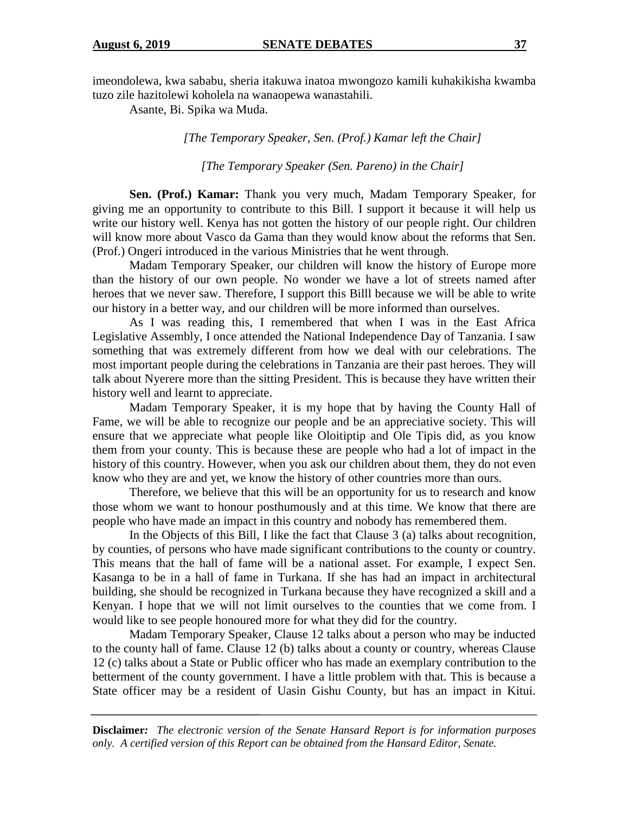imeondolewa, kwa sababu, sheria itakuwa inatoa mwongozo kamili kuhakikisha kwamba tuzo zile hazitolewi koholela na wanaopewa wanastahili.

Asante, Bi. Spika wa Muda.

*[The Temporary Speaker, Sen. (Prof.) Kamar left the Chair]*

*[The Temporary Speaker (Sen. Pareno) in the Chair]*

**Sen. (Prof.) Kamar:** Thank you very much, Madam Temporary Speaker, for giving me an opportunity to contribute to this Bill. I support it because it will help us write our history well. Kenya has not gotten the history of our people right. Our children will know more about Vasco da Gama than they would know about the reforms that Sen. (Prof.) Ongeri introduced in the various Ministries that he went through.

Madam Temporary Speaker, our children will know the history of Europe more than the history of our own people. No wonder we have a lot of streets named after heroes that we never saw. Therefore, I support this Billl because we will be able to write our history in a better way, and our children will be more informed than ourselves.

As I was reading this, I remembered that when I was in the East Africa Legislative Assembly, I once attended the National Independence Day of Tanzania. I saw something that was extremely different from how we deal with our celebrations. The most important people during the celebrations in Tanzania are their past heroes. They will talk about Nyerere more than the sitting President. This is because they have written their history well and learnt to appreciate.

Madam Temporary Speaker, it is my hope that by having the County Hall of Fame, we will be able to recognize our people and be an appreciative society. This will ensure that we appreciate what people like Oloitiptip and Ole Tipis did, as you know them from your county. This is because these are people who had a lot of impact in the history of this country. However, when you ask our children about them, they do not even know who they are and yet, we know the history of other countries more than ours.

Therefore, we believe that this will be an opportunity for us to research and know those whom we want to honour posthumously and at this time. We know that there are people who have made an impact in this country and nobody has remembered them.

In the Objects of this Bill, I like the fact that Clause 3 (a) talks about recognition, by counties, of persons who have made significant contributions to the county or country. This means that the hall of fame will be a national asset. For example, I expect Sen. Kasanga to be in a hall of fame in Turkana. If she has had an impact in architectural building, she should be recognized in Turkana because they have recognized a skill and a Kenyan. I hope that we will not limit ourselves to the counties that we come from. I would like to see people honoured more for what they did for the country.

Madam Temporary Speaker, Clause 12 talks about a person who may be inducted to the county hall of fame. Clause 12 (b) talks about a county or country, whereas Clause 12 (c) talks about a State or Public officer who has made an exemplary contribution to the betterment of the county government. I have a little problem with that. This is because a State officer may be a resident of Uasin Gishu County, but has an impact in Kitui.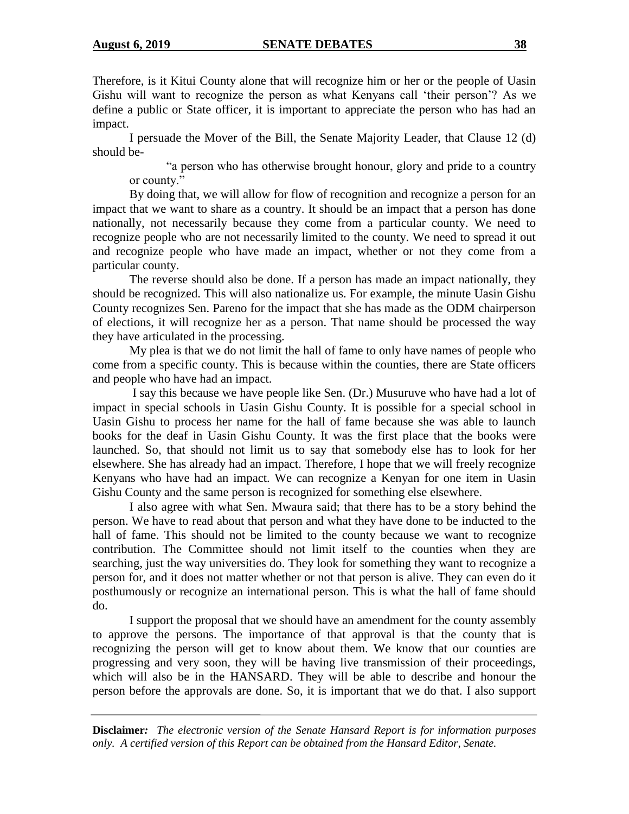Therefore, is it Kitui County alone that will recognize him or her or the people of Uasin Gishu will want to recognize the person as what Kenyans call 'their person'? As we define a public or State officer, it is important to appreciate the person who has had an impact.

I persuade the Mover of the Bill, the Senate Majority Leader, that Clause 12 (d) should be-

"a person who has otherwise brought honour, glory and pride to a country or county."

By doing that, we will allow for flow of recognition and recognize a person for an impact that we want to share as a country. It should be an impact that a person has done nationally, not necessarily because they come from a particular county. We need to recognize people who are not necessarily limited to the county. We need to spread it out and recognize people who have made an impact, whether or not they come from a particular county.

The reverse should also be done. If a person has made an impact nationally, they should be recognized. This will also nationalize us. For example, the minute Uasin Gishu County recognizes Sen. Pareno for the impact that she has made as the ODM chairperson of elections, it will recognize her as a person. That name should be processed the way they have articulated in the processing.

My plea is that we do not limit the hall of fame to only have names of people who come from a specific county. This is because within the counties, there are State officers and people who have had an impact.

I say this because we have people like Sen. (Dr.) Musuruve who have had a lot of impact in special schools in Uasin Gishu County. It is possible for a special school in Uasin Gishu to process her name for the hall of fame because she was able to launch books for the deaf in Uasin Gishu County. It was the first place that the books were launched. So, that should not limit us to say that somebody else has to look for her elsewhere. She has already had an impact. Therefore, I hope that we will freely recognize Kenyans who have had an impact. We can recognize a Kenyan for one item in Uasin Gishu County and the same person is recognized for something else elsewhere.

I also agree with what Sen. Mwaura said; that there has to be a story behind the person. We have to read about that person and what they have done to be inducted to the hall of fame. This should not be limited to the county because we want to recognize contribution. The Committee should not limit itself to the counties when they are searching, just the way universities do. They look for something they want to recognize a person for, and it does not matter whether or not that person is alive. They can even do it posthumously or recognize an international person. This is what the hall of fame should do.

I support the proposal that we should have an amendment for the county assembly to approve the persons. The importance of that approval is that the county that is recognizing the person will get to know about them. We know that our counties are progressing and very soon, they will be having live transmission of their proceedings, which will also be in the HANSARD. They will be able to describe and honour the person before the approvals are done. So, it is important that we do that. I also support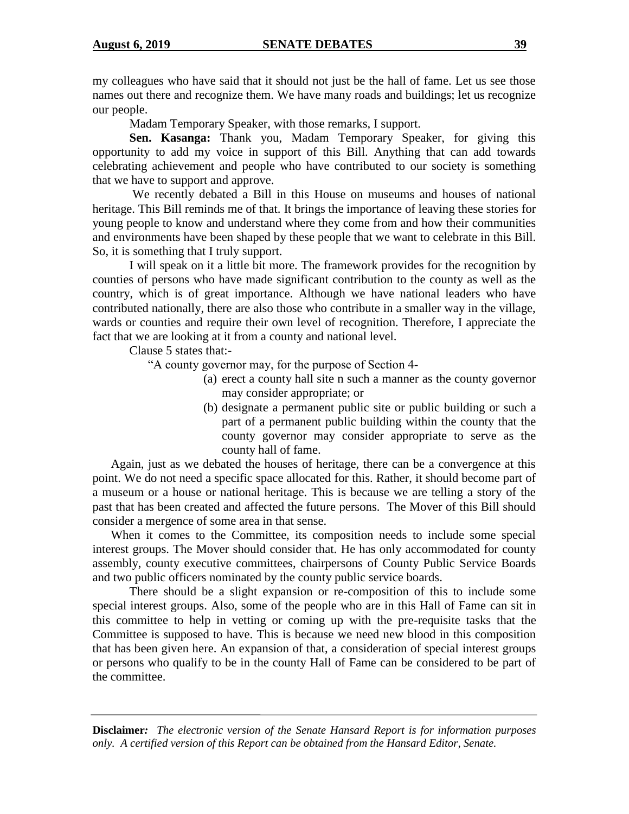my colleagues who have said that it should not just be the hall of fame. Let us see those names out there and recognize them. We have many roads and buildings; let us recognize our people.

Madam Temporary Speaker, with those remarks, I support.

**Sen. Kasanga:** Thank you, Madam Temporary Speaker, for giving this opportunity to add my voice in support of this Bill. Anything that can add towards celebrating achievement and people who have contributed to our society is something that we have to support and approve.

We recently debated a Bill in this House on museums and houses of national heritage. This Bill reminds me of that. It brings the importance of leaving these stories for young people to know and understand where they come from and how their communities and environments have been shaped by these people that we want to celebrate in this Bill. So, it is something that I truly support.

I will speak on it a little bit more. The framework provides for the recognition by counties of persons who have made significant contribution to the county as well as the country, which is of great importance. Although we have national leaders who have contributed nationally, there are also those who contribute in a smaller way in the village, wards or counties and require their own level of recognition. Therefore, I appreciate the fact that we are looking at it from a county and national level.

Clause 5 states that:-

"A county governor may, for the purpose of Section 4-

- (a) erect a county hall site n such a manner as the county governor may consider appropriate; or
- (b) designate a permanent public site or public building or such a part of a permanent public building within the county that the county governor may consider appropriate to serve as the county hall of fame.

Again, just as we debated the houses of heritage, there can be a convergence at this point. We do not need a specific space allocated for this. Rather, it should become part of a museum or a house or national heritage. This is because we are telling a story of the past that has been created and affected the future persons. The Mover of this Bill should consider a mergence of some area in that sense.

When it comes to the Committee, its composition needs to include some special interest groups. The Mover should consider that. He has only accommodated for county assembly, county executive committees, chairpersons of County Public Service Boards and two public officers nominated by the county public service boards.

There should be a slight expansion or re-composition of this to include some special interest groups. Also, some of the people who are in this Hall of Fame can sit in this committee to help in vetting or coming up with the pre-requisite tasks that the Committee is supposed to have. This is because we need new blood in this composition that has been given here. An expansion of that, a consideration of special interest groups or persons who qualify to be in the county Hall of Fame can be considered to be part of the committee.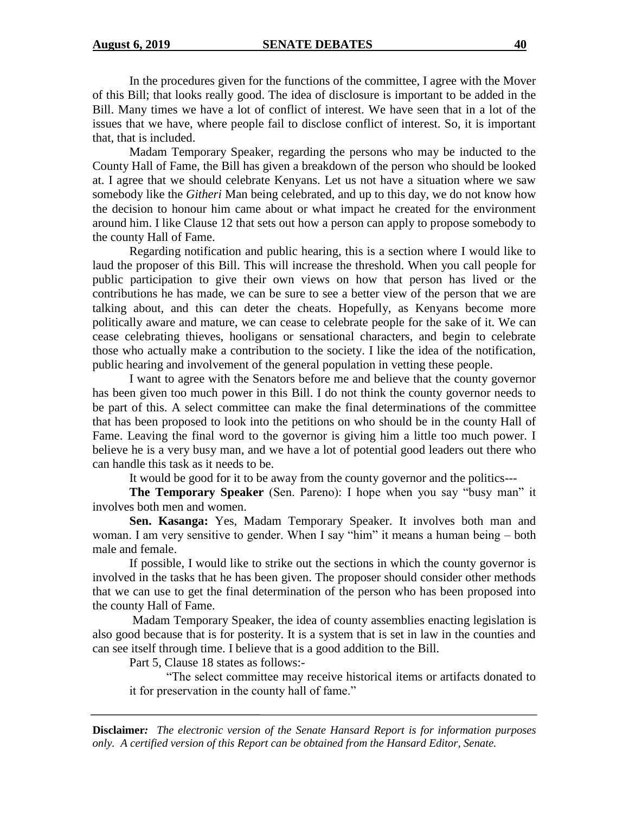In the procedures given for the functions of the committee, I agree with the Mover of this Bill; that looks really good. The idea of disclosure is important to be added in the Bill. Many times we have a lot of conflict of interest. We have seen that in a lot of the issues that we have, where people fail to disclose conflict of interest. So, it is important that, that is included.

Madam Temporary Speaker, regarding the persons who may be inducted to the County Hall of Fame, the Bill has given a breakdown of the person who should be looked at. I agree that we should celebrate Kenyans. Let us not have a situation where we saw somebody like the *Githeri* Man being celebrated, and up to this day, we do not know how the decision to honour him came about or what impact he created for the environment around him. I like Clause 12 that sets out how a person can apply to propose somebody to the county Hall of Fame.

Regarding notification and public hearing, this is a section where I would like to laud the proposer of this Bill. This will increase the threshold. When you call people for public participation to give their own views on how that person has lived or the contributions he has made, we can be sure to see a better view of the person that we are talking about, and this can deter the cheats. Hopefully, as Kenyans become more politically aware and mature, we can cease to celebrate people for the sake of it. We can cease celebrating thieves, hooligans or sensational characters, and begin to celebrate those who actually make a contribution to the society. I like the idea of the notification, public hearing and involvement of the general population in vetting these people.

I want to agree with the Senators before me and believe that the county governor has been given too much power in this Bill. I do not think the county governor needs to be part of this. A select committee can make the final determinations of the committee that has been proposed to look into the petitions on who should be in the county Hall of Fame. Leaving the final word to the governor is giving him a little too much power. I believe he is a very busy man, and we have a lot of potential good leaders out there who can handle this task as it needs to be.

It would be good for it to be away from the county governor and the politics---

**The Temporary Speaker** (Sen. Pareno): I hope when you say "busy man" it involves both men and women.

**Sen. Kasanga:** Yes, Madam Temporary Speaker. It involves both man and woman. I am very sensitive to gender. When I say "him" it means a human being – both male and female.

If possible, I would like to strike out the sections in which the county governor is involved in the tasks that he has been given. The proposer should consider other methods that we can use to get the final determination of the person who has been proposed into the county Hall of Fame.

Madam Temporary Speaker, the idea of county assemblies enacting legislation is also good because that is for posterity. It is a system that is set in law in the counties and can see itself through time. I believe that is a good addition to the Bill.

Part 5, Clause 18 states as follows:-

"The select committee may receive historical items or artifacts donated to it for preservation in the county hall of fame."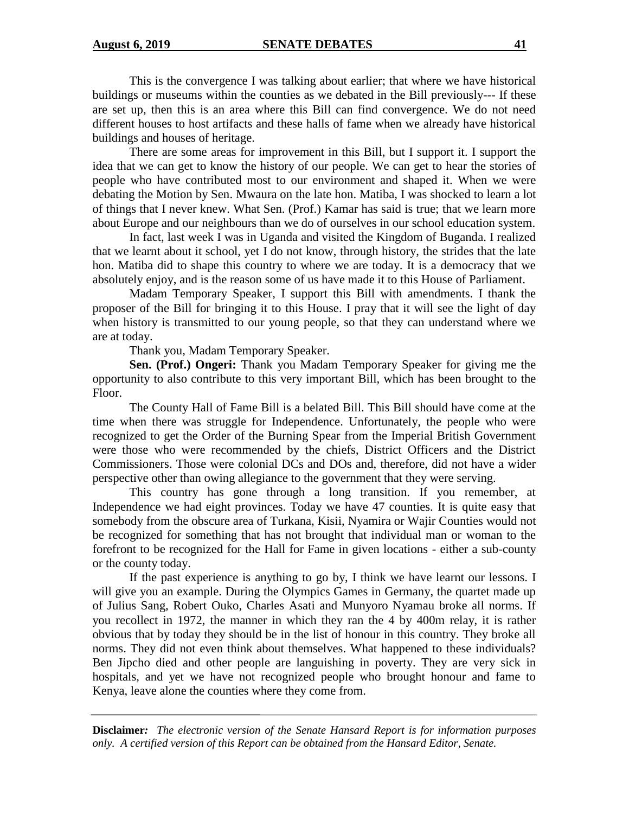This is the convergence I was talking about earlier; that where we have historical buildings or museums within the counties as we debated in the Bill previously--- If these are set up, then this is an area where this Bill can find convergence. We do not need different houses to host artifacts and these halls of fame when we already have historical buildings and houses of heritage.

There are some areas for improvement in this Bill, but I support it. I support the idea that we can get to know the history of our people. We can get to hear the stories of people who have contributed most to our environment and shaped it. When we were debating the Motion by Sen. Mwaura on the late hon. Matiba, I was shocked to learn a lot of things that I never knew. What Sen. (Prof.) Kamar has said is true; that we learn more about Europe and our neighbours than we do of ourselves in our school education system.

In fact, last week I was in Uganda and visited the Kingdom of Buganda. I realized that we learnt about it school, yet I do not know, through history, the strides that the late hon. Matiba did to shape this country to where we are today. It is a democracy that we absolutely enjoy, and is the reason some of us have made it to this House of Parliament.

Madam Temporary Speaker, I support this Bill with amendments. I thank the proposer of the Bill for bringing it to this House. I pray that it will see the light of day when history is transmitted to our young people, so that they can understand where we are at today.

Thank you, Madam Temporary Speaker.

**Sen. (Prof.) Ongeri:** Thank you Madam Temporary Speaker for giving me the opportunity to also contribute to this very important Bill, which has been brought to the Floor.

The County Hall of Fame Bill is a belated Bill. This Bill should have come at the time when there was struggle for Independence. Unfortunately, the people who were recognized to get the Order of the Burning Spear from the Imperial British Government were those who were recommended by the chiefs, District Officers and the District Commissioners. Those were colonial DCs and DOs and, therefore, did not have a wider perspective other than owing allegiance to the government that they were serving.

This country has gone through a long transition. If you remember, at Independence we had eight provinces. Today we have 47 counties. It is quite easy that somebody from the obscure area of Turkana, Kisii, Nyamira or Wajir Counties would not be recognized for something that has not brought that individual man or woman to the forefront to be recognized for the Hall for Fame in given locations - either a sub-county or the county today.

If the past experience is anything to go by, I think we have learnt our lessons. I will give you an example. During the Olympics Games in Germany, the quartet made up of Julius Sang, Robert Ouko, Charles Asati and Munyoro Nyamau broke all norms. If you recollect in 1972, the manner in which they ran the 4 by 400m relay, it is rather obvious that by today they should be in the list of honour in this country. They broke all norms. They did not even think about themselves. What happened to these individuals? Ben Jipcho died and other people are languishing in poverty. They are very sick in hospitals, and yet we have not recognized people who brought honour and fame to Kenya, leave alone the counties where they come from.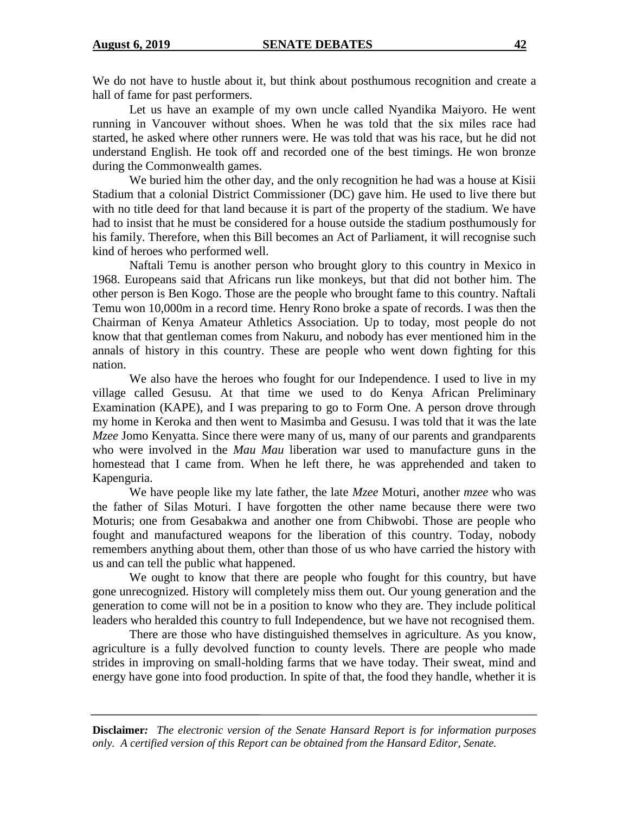We do not have to hustle about it, but think about posthumous recognition and create a hall of fame for past performers.

Let us have an example of my own uncle called Nyandika Maiyoro. He went running in Vancouver without shoes. When he was told that the six miles race had started, he asked where other runners were. He was told that was his race, but he did not understand English. He took off and recorded one of the best timings. He won bronze during the Commonwealth games.

We buried him the other day, and the only recognition he had was a house at Kisii Stadium that a colonial District Commissioner (DC) gave him. He used to live there but with no title deed for that land because it is part of the property of the stadium. We have had to insist that he must be considered for a house outside the stadium posthumously for his family. Therefore, when this Bill becomes an Act of Parliament, it will recognise such kind of heroes who performed well.

Naftali Temu is another person who brought glory to this country in Mexico in 1968. Europeans said that Africans run like monkeys, but that did not bother him. The other person is Ben Kogo. Those are the people who brought fame to this country. Naftali Temu won 10,000m in a record time. Henry Rono broke a spate of records. I was then the Chairman of Kenya Amateur Athletics Association. Up to today, most people do not know that that gentleman comes from Nakuru, and nobody has ever mentioned him in the annals of history in this country. These are people who went down fighting for this nation.

We also have the heroes who fought for our Independence. I used to live in my village called Gesusu. At that time we used to do Kenya African Preliminary Examination (KAPE), and I was preparing to go to Form One. A person drove through my home in Keroka and then went to Masimba and Gesusu. I was told that it was the late *Mzee* Jomo Kenyatta. Since there were many of us, many of our parents and grandparents who were involved in the *Mau Mau* liberation war used to manufacture guns in the homestead that I came from. When he left there, he was apprehended and taken to Kapenguria.

We have people like my late father, the late *Mzee* Moturi, another *mzee* who was the father of Silas Moturi. I have forgotten the other name because there were two Moturis; one from Gesabakwa and another one from Chibwobi. Those are people who fought and manufactured weapons for the liberation of this country. Today, nobody remembers anything about them, other than those of us who have carried the history with us and can tell the public what happened.

We ought to know that there are people who fought for this country, but have gone unrecognized. History will completely miss them out. Our young generation and the generation to come will not be in a position to know who they are. They include political leaders who heralded this country to full Independence, but we have not recognised them.

There are those who have distinguished themselves in agriculture. As you know, agriculture is a fully devolved function to county levels. There are people who made strides in improving on small-holding farms that we have today. Their sweat, mind and energy have gone into food production. In spite of that, the food they handle, whether it is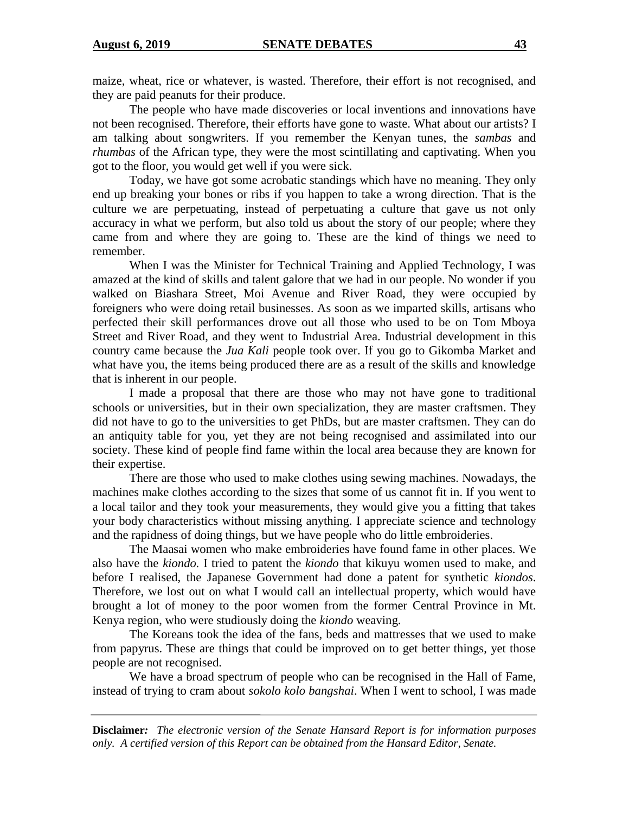maize, wheat, rice or whatever, is wasted. Therefore, their effort is not recognised, and they are paid peanuts for their produce.

The people who have made discoveries or local inventions and innovations have not been recognised. Therefore, their efforts have gone to waste. What about our artists? I am talking about songwriters. If you remember the Kenyan tunes, the *sambas* and *rhumbas* of the African type, they were the most scintillating and captivating. When you got to the floor, you would get well if you were sick.

Today, we have got some acrobatic standings which have no meaning. They only end up breaking your bones or ribs if you happen to take a wrong direction. That is the culture we are perpetuating, instead of perpetuating a culture that gave us not only accuracy in what we perform, but also told us about the story of our people; where they came from and where they are going to. These are the kind of things we need to remember.

When I was the Minister for Technical Training and Applied Technology, I was amazed at the kind of skills and talent galore that we had in our people. No wonder if you walked on Biashara Street, Moi Avenue and River Road, they were occupied by foreigners who were doing retail businesses. As soon as we imparted skills, artisans who perfected their skill performances drove out all those who used to be on Tom Mboya Street and River Road, and they went to Industrial Area. Industrial development in this country came because the *Jua Kali* people took over. If you go to Gikomba Market and what have you, the items being produced there are as a result of the skills and knowledge that is inherent in our people.

I made a proposal that there are those who may not have gone to traditional schools or universities, but in their own specialization, they are master craftsmen. They did not have to go to the universities to get PhDs, but are master craftsmen. They can do an antiquity table for you, yet they are not being recognised and assimilated into our society. These kind of people find fame within the local area because they are known for their expertise.

There are those who used to make clothes using sewing machines. Nowadays, the machines make clothes according to the sizes that some of us cannot fit in. If you went to a local tailor and they took your measurements, they would give you a fitting that takes your body characteristics without missing anything. I appreciate science and technology and the rapidness of doing things, but we have people who do little embroideries.

The Maasai women who make embroideries have found fame in other places. We also have the *kiondo.* I tried to patent the *kiondo* that kikuyu women used to make, and before I realised, the Japanese Government had done a patent for synthetic *kiondos*. Therefore, we lost out on what I would call an intellectual property, which would have brought a lot of money to the poor women from the former Central Province in Mt. Kenya region, who were studiously doing the *kiondo* weaving.

The Koreans took the idea of the fans, beds and mattresses that we used to make from papyrus. These are things that could be improved on to get better things, yet those people are not recognised.

We have a broad spectrum of people who can be recognised in the Hall of Fame, instead of trying to cram about *sokolo kolo bangshai*. When I went to school, I was made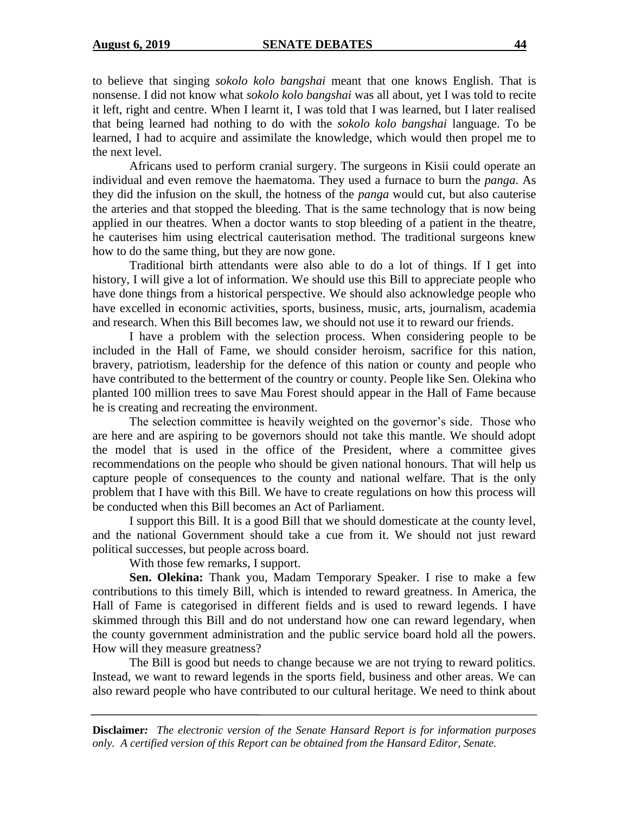to believe that singing *sokolo kolo bangshai* meant that one knows English. That is nonsense. I did not know what *sokolo kolo bangshai* was all about, yet I was told to recite it left, right and centre. When I learnt it, I was told that I was learned, but I later realised that being learned had nothing to do with the *sokolo kolo bangshai* language. To be learned, I had to acquire and assimilate the knowledge, which would then propel me to the next level.

Africans used to perform cranial surgery. The surgeons in Kisii could operate an individual and even remove the haematoma. They used a furnace to burn the *panga*. As they did the infusion on the skull, the hotness of the *panga* would cut, but also cauterise the arteries and that stopped the bleeding. That is the same technology that is now being applied in our theatres. When a doctor wants to stop bleeding of a patient in the theatre, he cauterises him using electrical cauterisation method. The traditional surgeons knew how to do the same thing, but they are now gone.

Traditional birth attendants were also able to do a lot of things. If I get into history, I will give a lot of information. We should use this Bill to appreciate people who have done things from a historical perspective. We should also acknowledge people who have excelled in economic activities, sports, business, music, arts, journalism, academia and research. When this Bill becomes law, we should not use it to reward our friends.

I have a problem with the selection process. When considering people to be included in the Hall of Fame, we should consider heroism, sacrifice for this nation, bravery, patriotism, leadership for the defence of this nation or county and people who have contributed to the betterment of the country or county. People like Sen. Olekina who planted 100 million trees to save Mau Forest should appear in the Hall of Fame because he is creating and recreating the environment.

The selection committee is heavily weighted on the governor's side. Those who are here and are aspiring to be governors should not take this mantle. We should adopt the model that is used in the office of the President, where a committee gives recommendations on the people who should be given national honours. That will help us capture people of consequences to the county and national welfare. That is the only problem that I have with this Bill. We have to create regulations on how this process will be conducted when this Bill becomes an Act of Parliament.

I support this Bill. It is a good Bill that we should domesticate at the county level, and the national Government should take a cue from it. We should not just reward political successes, but people across board.

With those few remarks, I support.

**Sen. Olekina:** Thank you, Madam Temporary Speaker. I rise to make a few contributions to this timely Bill, which is intended to reward greatness. In America, the Hall of Fame is categorised in different fields and is used to reward legends. I have skimmed through this Bill and do not understand how one can reward legendary, when the county government administration and the public service board hold all the powers. How will they measure greatness?

The Bill is good but needs to change because we are not trying to reward politics. Instead, we want to reward legends in the sports field, business and other areas. We can also reward people who have contributed to our cultural heritage. We need to think about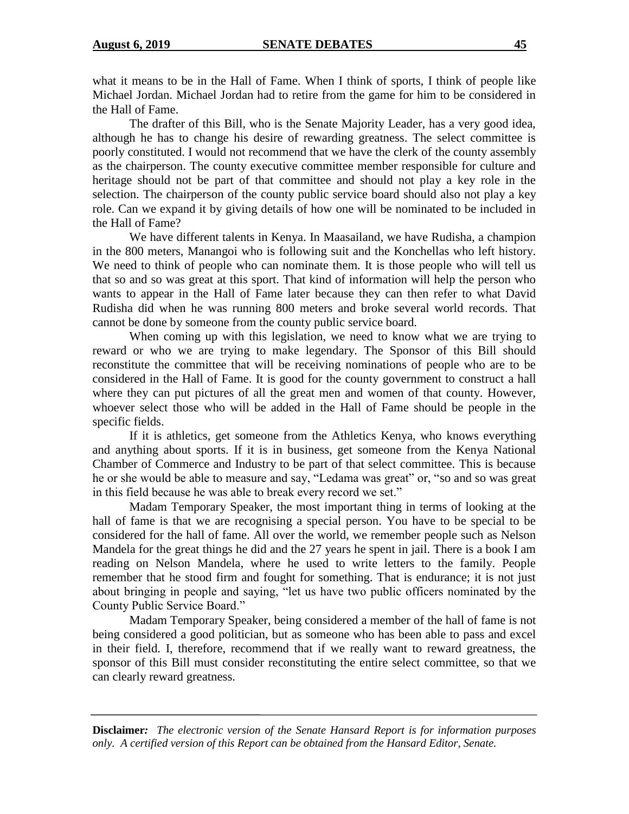what it means to be in the Hall of Fame. When I think of sports, I think of people like Michael Jordan. Michael Jordan had to retire from the game for him to be considered in the Hall of Fame.

The drafter of this Bill, who is the Senate Majority Leader, has a very good idea, although he has to change his desire of rewarding greatness. The select committee is poorly constituted. I would not recommend that we have the clerk of the county assembly as the chairperson. The county executive committee member responsible for culture and heritage should not be part of that committee and should not play a key role in the selection. The chairperson of the county public service board should also not play a key role. Can we expand it by giving details of how one will be nominated to be included in the Hall of Fame?

We have different talents in Kenya. In Maasailand, we have Rudisha, a champion in the 800 meters, Manangoi who is following suit and the Konchellas who left history. We need to think of people who can nominate them. It is those people who will tell us that so and so was great at this sport. That kind of information will help the person who wants to appear in the Hall of Fame later because they can then refer to what David Rudisha did when he was running 800 meters and broke several world records. That cannot be done by someone from the county public service board.

When coming up with this legislation, we need to know what we are trying to reward or who we are trying to make legendary. The Sponsor of this Bill should reconstitute the committee that will be receiving nominations of people who are to be considered in the Hall of Fame. It is good for the county government to construct a hall where they can put pictures of all the great men and women of that county. However, whoever select those who will be added in the Hall of Fame should be people in the specific fields.

If it is athletics, get someone from the Athletics Kenya, who knows everything and anything about sports. If it is in business, get someone from the Kenya National Chamber of Commerce and Industry to be part of that select committee. This is because he or she would be able to measure and say, "Ledama was great" or, "so and so was great in this field because he was able to break every record we set."

Madam Temporary Speaker, the most important thing in terms of looking at the hall of fame is that we are recognising a special person. You have to be special to be considered for the hall of fame. All over the world, we remember people such as Nelson Mandela for the great things he did and the 27 years he spent in jail. There is a book I am reading on Nelson Mandela, where he used to write letters to the family. People remember that he stood firm and fought for something. That is endurance; it is not just about bringing in people and saying, "let us have two public officers nominated by the County Public Service Board."

Madam Temporary Speaker, being considered a member of the hall of fame is not being considered a good politician, but as someone who has been able to pass and excel in their field. I, therefore, recommend that if we really want to reward greatness, the sponsor of this Bill must consider reconstituting the entire select committee, so that we can clearly reward greatness.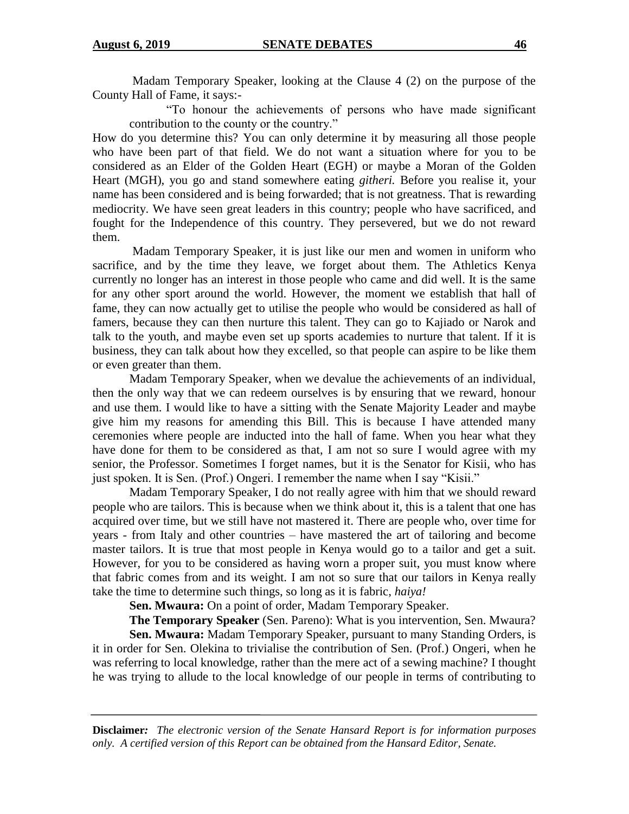Madam Temporary Speaker, looking at the Clause 4 (2) on the purpose of the County Hall of Fame, it says:-

"To honour the achievements of persons who have made significant contribution to the county or the country."

How do you determine this? You can only determine it by measuring all those people who have been part of that field. We do not want a situation where for you to be considered as an Elder of the Golden Heart (EGH) or maybe a Moran of the Golden Heart (MGH), you go and stand somewhere eating *githeri.* Before you realise it, your name has been considered and is being forwarded; that is not greatness. That is rewarding mediocrity. We have seen great leaders in this country; people who have sacrificed, and fought for the Independence of this country. They persevered, but we do not reward them.

Madam Temporary Speaker, it is just like our men and women in uniform who sacrifice, and by the time they leave, we forget about them. The Athletics Kenya currently no longer has an interest in those people who came and did well. It is the same for any other sport around the world. However, the moment we establish that hall of fame, they can now actually get to utilise the people who would be considered as hall of famers, because they can then nurture this talent. They can go to Kajiado or Narok and talk to the youth, and maybe even set up sports academies to nurture that talent. If it is business, they can talk about how they excelled, so that people can aspire to be like them or even greater than them.

Madam Temporary Speaker, when we devalue the achievements of an individual, then the only way that we can redeem ourselves is by ensuring that we reward, honour and use them. I would like to have a sitting with the Senate Majority Leader and maybe give him my reasons for amending this Bill. This is because I have attended many ceremonies where people are inducted into the hall of fame. When you hear what they have done for them to be considered as that, I am not so sure I would agree with my senior, the Professor. Sometimes I forget names, but it is the Senator for Kisii, who has just spoken. It is Sen. (Prof.) Ongeri. I remember the name when I say "Kisii."

Madam Temporary Speaker, I do not really agree with him that we should reward people who are tailors. This is because when we think about it, this is a talent that one has acquired over time, but we still have not mastered it. There are people who, over time for years - from Italy and other countries – have mastered the art of tailoring and become master tailors. It is true that most people in Kenya would go to a tailor and get a suit. However, for you to be considered as having worn a proper suit, you must know where that fabric comes from and its weight. I am not so sure that our tailors in Kenya really take the time to determine such things, so long as it is fabric, *haiya!*

**Sen. Mwaura:** On a point of order, Madam Temporary Speaker.

**The Temporary Speaker** (Sen. Pareno): What is you intervention, Sen. Mwaura?

**Sen. Mwaura:** Madam Temporary Speaker, pursuant to many Standing Orders, is it in order for Sen. Olekina to trivialise the contribution of Sen. (Prof.) Ongeri, when he was referring to local knowledge, rather than the mere act of a sewing machine? I thought he was trying to allude to the local knowledge of our people in terms of contributing to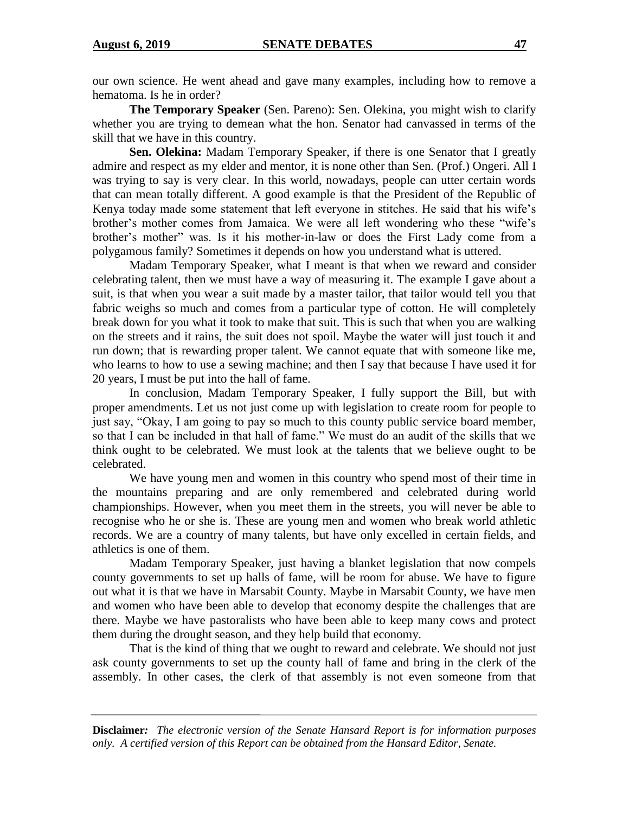our own science. He went ahead and gave many examples, including how to remove a hematoma. Is he in order?

**The Temporary Speaker** (Sen. Pareno): Sen. Olekina, you might wish to clarify whether you are trying to demean what the hon. Senator had canvassed in terms of the skill that we have in this country.

**Sen. Olekina:** Madam Temporary Speaker, if there is one Senator that I greatly admire and respect as my elder and mentor, it is none other than Sen. (Prof.) Ongeri. All I was trying to say is very clear. In this world, nowadays, people can utter certain words that can mean totally different. A good example is that the President of the Republic of Kenya today made some statement that left everyone in stitches. He said that his wife's brother's mother comes from Jamaica. We were all left wondering who these "wife's brother's mother" was. Is it his mother-in-law or does the First Lady come from a polygamous family? Sometimes it depends on how you understand what is uttered.

Madam Temporary Speaker, what I meant is that when we reward and consider celebrating talent, then we must have a way of measuring it. The example I gave about a suit, is that when you wear a suit made by a master tailor, that tailor would tell you that fabric weighs so much and comes from a particular type of cotton. He will completely break down for you what it took to make that suit. This is such that when you are walking on the streets and it rains, the suit does not spoil. Maybe the water will just touch it and run down; that is rewarding proper talent. We cannot equate that with someone like me, who learns to how to use a sewing machine; and then I say that because I have used it for 20 years, I must be put into the hall of fame.

In conclusion, Madam Temporary Speaker, I fully support the Bill, but with proper amendments. Let us not just come up with legislation to create room for people to just say, "Okay, I am going to pay so much to this county public service board member, so that I can be included in that hall of fame." We must do an audit of the skills that we think ought to be celebrated. We must look at the talents that we believe ought to be celebrated.

We have young men and women in this country who spend most of their time in the mountains preparing and are only remembered and celebrated during world championships. However, when you meet them in the streets, you will never be able to recognise who he or she is. These are young men and women who break world athletic records. We are a country of many talents, but have only excelled in certain fields, and athletics is one of them.

Madam Temporary Speaker, just having a blanket legislation that now compels county governments to set up halls of fame, will be room for abuse. We have to figure out what it is that we have in Marsabit County. Maybe in Marsabit County, we have men and women who have been able to develop that economy despite the challenges that are there. Maybe we have pastoralists who have been able to keep many cows and protect them during the drought season, and they help build that economy.

That is the kind of thing that we ought to reward and celebrate. We should not just ask county governments to set up the county hall of fame and bring in the clerk of the assembly. In other cases, the clerk of that assembly is not even someone from that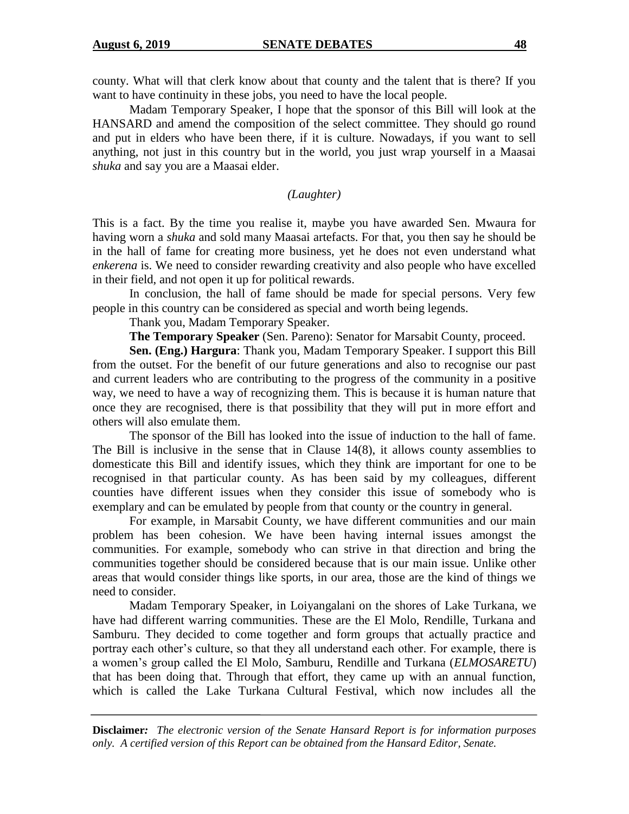county. What will that clerk know about that county and the talent that is there? If you want to have continuity in these jobs, you need to have the local people.

Madam Temporary Speaker, I hope that the sponsor of this Bill will look at the HANSARD and amend the composition of the select committee. They should go round and put in elders who have been there, if it is culture. Nowadays, if you want to sell anything, not just in this country but in the world, you just wrap yourself in a Maasai *shuka* and say you are a Maasai elder.

*(Laughter)*

This is a fact. By the time you realise it, maybe you have awarded Sen. Mwaura for having worn a *shuka* and sold many Maasai artefacts. For that, you then say he should be in the hall of fame for creating more business, yet he does not even understand what *enkerena* is. We need to consider rewarding creativity and also people who have excelled in their field, and not open it up for political rewards.

In conclusion, the hall of fame should be made for special persons. Very few people in this country can be considered as special and worth being legends.

Thank you, Madam Temporary Speaker.

**The Temporary Speaker** (Sen. Pareno): Senator for Marsabit County, proceed.

**Sen. (Eng.) Hargura**: Thank you, Madam Temporary Speaker. I support this Bill from the outset. For the benefit of our future generations and also to recognise our past and current leaders who are contributing to the progress of the community in a positive way, we need to have a way of recognizing them. This is because it is human nature that once they are recognised, there is that possibility that they will put in more effort and others will also emulate them.

The sponsor of the Bill has looked into the issue of induction to the hall of fame. The Bill is inclusive in the sense that in Clause 14(8), it allows county assemblies to domesticate this Bill and identify issues, which they think are important for one to be recognised in that particular county. As has been said by my colleagues, different counties have different issues when they consider this issue of somebody who is exemplary and can be emulated by people from that county or the country in general.

For example, in Marsabit County, we have different communities and our main problem has been cohesion. We have been having internal issues amongst the communities. For example, somebody who can strive in that direction and bring the communities together should be considered because that is our main issue. Unlike other areas that would consider things like sports, in our area, those are the kind of things we need to consider.

Madam Temporary Speaker, in Loiyangalani on the shores of Lake Turkana, we have had different warring communities. These are the El Molo, Rendille, Turkana and Samburu. They decided to come together and form groups that actually practice and portray each other's culture, so that they all understand each other. For example, there is a women's group called the El Molo, Samburu, Rendille and Turkana (*ELMOSARETU*) that has been doing that. Through that effort, they came up with an annual function, which is called the Lake Turkana Cultural Festival, which now includes all the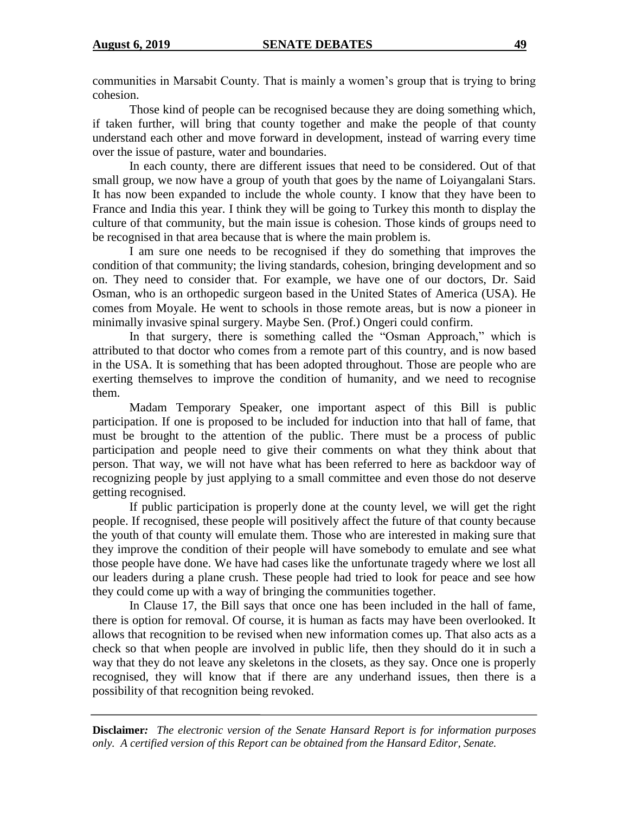communities in Marsabit County. That is mainly a women's group that is trying to bring cohesion.

Those kind of people can be recognised because they are doing something which, if taken further, will bring that county together and make the people of that county understand each other and move forward in development, instead of warring every time over the issue of pasture, water and boundaries.

In each county, there are different issues that need to be considered. Out of that small group, we now have a group of youth that goes by the name of Loiyangalani Stars. It has now been expanded to include the whole county. I know that they have been to France and India this year. I think they will be going to Turkey this month to display the culture of that community, but the main issue is cohesion. Those kinds of groups need to be recognised in that area because that is where the main problem is.

I am sure one needs to be recognised if they do something that improves the condition of that community; the living standards, cohesion, bringing development and so on. They need to consider that. For example, we have one of our doctors, Dr. Said Osman, who is an orthopedic surgeon based in the United States of America (USA). He comes from Moyale. He went to schools in those remote areas, but is now a pioneer in minimally invasive spinal surgery. Maybe Sen. (Prof.) Ongeri could confirm.

In that surgery, there is something called the "Osman Approach," which is attributed to that doctor who comes from a remote part of this country, and is now based in the USA. It is something that has been adopted throughout. Those are people who are exerting themselves to improve the condition of humanity, and we need to recognise them.

Madam Temporary Speaker, one important aspect of this Bill is public participation. If one is proposed to be included for induction into that hall of fame, that must be brought to the attention of the public. There must be a process of public participation and people need to give their comments on what they think about that person. That way, we will not have what has been referred to here as backdoor way of recognizing people by just applying to a small committee and even those do not deserve getting recognised.

If public participation is properly done at the county level, we will get the right people. If recognised, these people will positively affect the future of that county because the youth of that county will emulate them. Those who are interested in making sure that they improve the condition of their people will have somebody to emulate and see what those people have done. We have had cases like the unfortunate tragedy where we lost all our leaders during a plane crush. These people had tried to look for peace and see how they could come up with a way of bringing the communities together.

In Clause 17, the Bill says that once one has been included in the hall of fame, there is option for removal. Of course, it is human as facts may have been overlooked. It allows that recognition to be revised when new information comes up. That also acts as a check so that when people are involved in public life, then they should do it in such a way that they do not leave any skeletons in the closets, as they say. Once one is properly recognised, they will know that if there are any underhand issues, then there is a possibility of that recognition being revoked.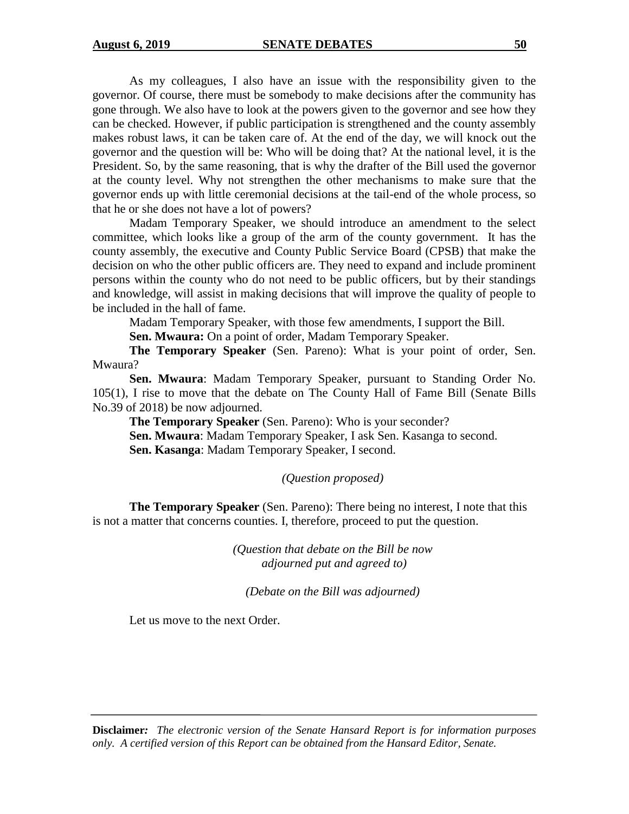As my colleagues, I also have an issue with the responsibility given to the governor. Of course, there must be somebody to make decisions after the community has gone through. We also have to look at the powers given to the governor and see how they can be checked. However, if public participation is strengthened and the county assembly makes robust laws, it can be taken care of. At the end of the day, we will knock out the governor and the question will be: Who will be doing that? At the national level, it is the President. So, by the same reasoning, that is why the drafter of the Bill used the governor at the county level. Why not strengthen the other mechanisms to make sure that the governor ends up with little ceremonial decisions at the tail-end of the whole process, so that he or she does not have a lot of powers?

Madam Temporary Speaker, we should introduce an amendment to the select committee, which looks like a group of the arm of the county government. It has the county assembly, the executive and County Public Service Board (CPSB) that make the decision on who the other public officers are. They need to expand and include prominent persons within the county who do not need to be public officers, but by their standings and knowledge, will assist in making decisions that will improve the quality of people to be included in the hall of fame.

Madam Temporary Speaker, with those few amendments, I support the Bill.

**Sen. Mwaura:** On a point of order, Madam Temporary Speaker.

**The Temporary Speaker** (Sen. Pareno): What is your point of order, Sen. Mwaura?

**Sen. Mwaura**: Madam Temporary Speaker, pursuant to Standing Order No. 105(1), I rise to move that the debate on The County Hall of Fame Bill (Senate Bills No.39 of 2018) be now adjourned.

**The Temporary Speaker** (Sen. Pareno): Who is your seconder? **Sen. Mwaura**: Madam Temporary Speaker, I ask Sen. Kasanga to second. **Sen. Kasanga**: Madam Temporary Speaker, I second.

*(Question proposed)*

**The Temporary Speaker** (Sen. Pareno): There being no interest, I note that this is not a matter that concerns counties. I, therefore, proceed to put the question.

> *(Question that debate on the Bill be now adjourned put and agreed to)*

*(Debate on the Bill was adjourned)*

Let us move to the next Order.